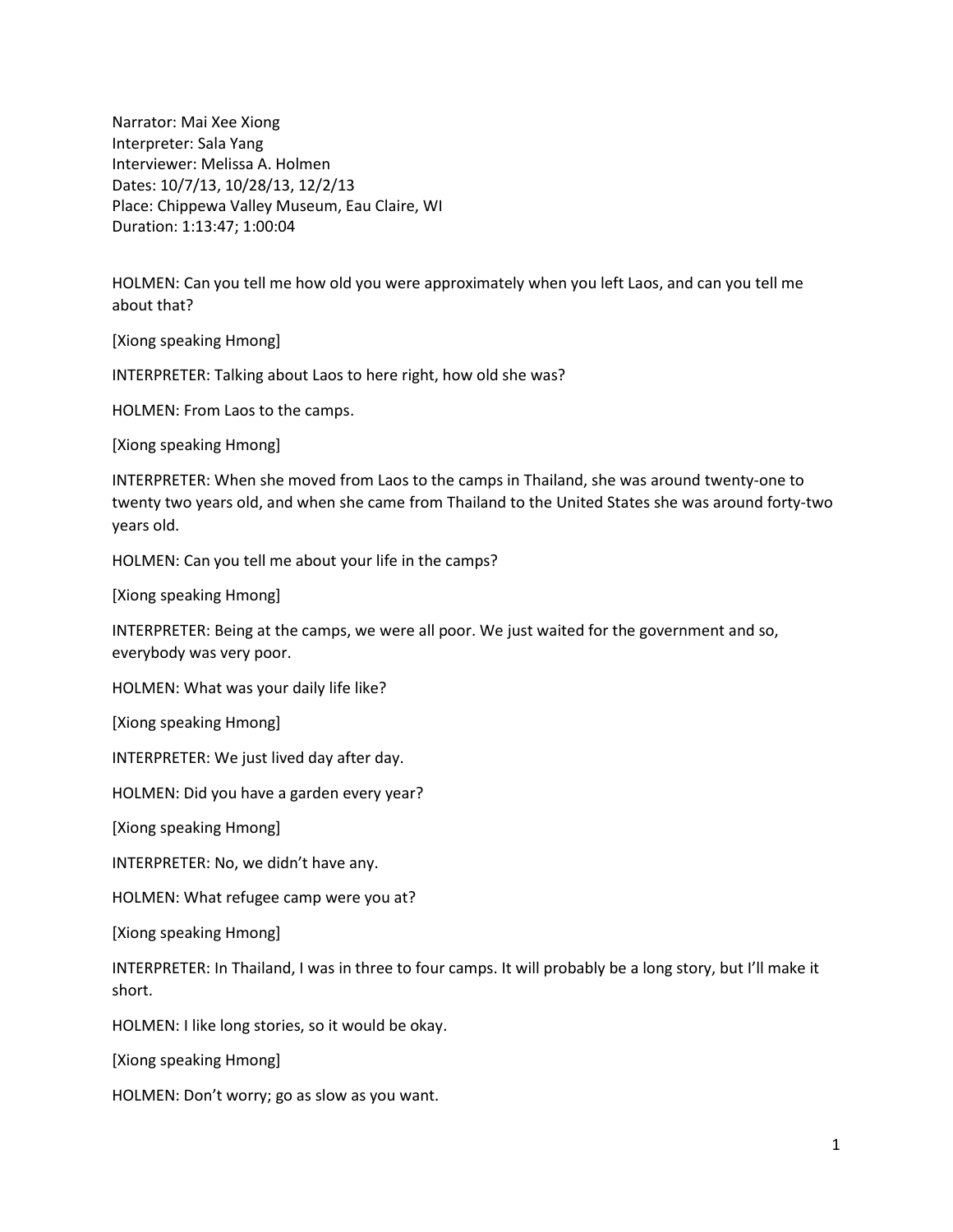Narrator: Mai Xee Xiong Interpreter: Sala Yang Interviewer: Melissa A. Holmen Dates: 10/7/13, 10/28/13, 12/2/13 Place: Chippewa Valley Museum, Eau Claire, WI Duration: 1:13:47; 1:00:04

HOLMEN: Can you tell me how old you were approximately when you left Laos, and can you tell me about that?

[Xiong speaking Hmong]

INTERPRETER: Talking about Laos to here right, how old she was?

HOLMEN: From Laos to the camps.

[Xiong speaking Hmong]

INTERPRETER: When she moved from Laos to the camps in Thailand, she was around twenty-one to twenty two years old, and when she came from Thailand to the United States she was around forty-two years old.

HOLMEN: Can you tell me about your life in the camps?

[Xiong speaking Hmong]

INTERPRETER: Being at the camps, we were all poor. We just waited for the government and so, everybody was very poor.

HOLMEN: What was your daily life like?

[Xiong speaking Hmong]

INTERPRETER: We just lived day after day.

HOLMEN: Did you have a garden every year?

[Xiong speaking Hmong]

INTERPRETER: No, we didn't have any.

HOLMEN: What refugee camp were you at?

[Xiong speaking Hmong]

INTERPRETER: In Thailand, I was in three to four camps. It will probably be a long story, but I'll make it short.

HOLMEN: I like long stories, so it would be okay.

[Xiong speaking Hmong]

HOLMEN: Don't worry; go as slow as you want.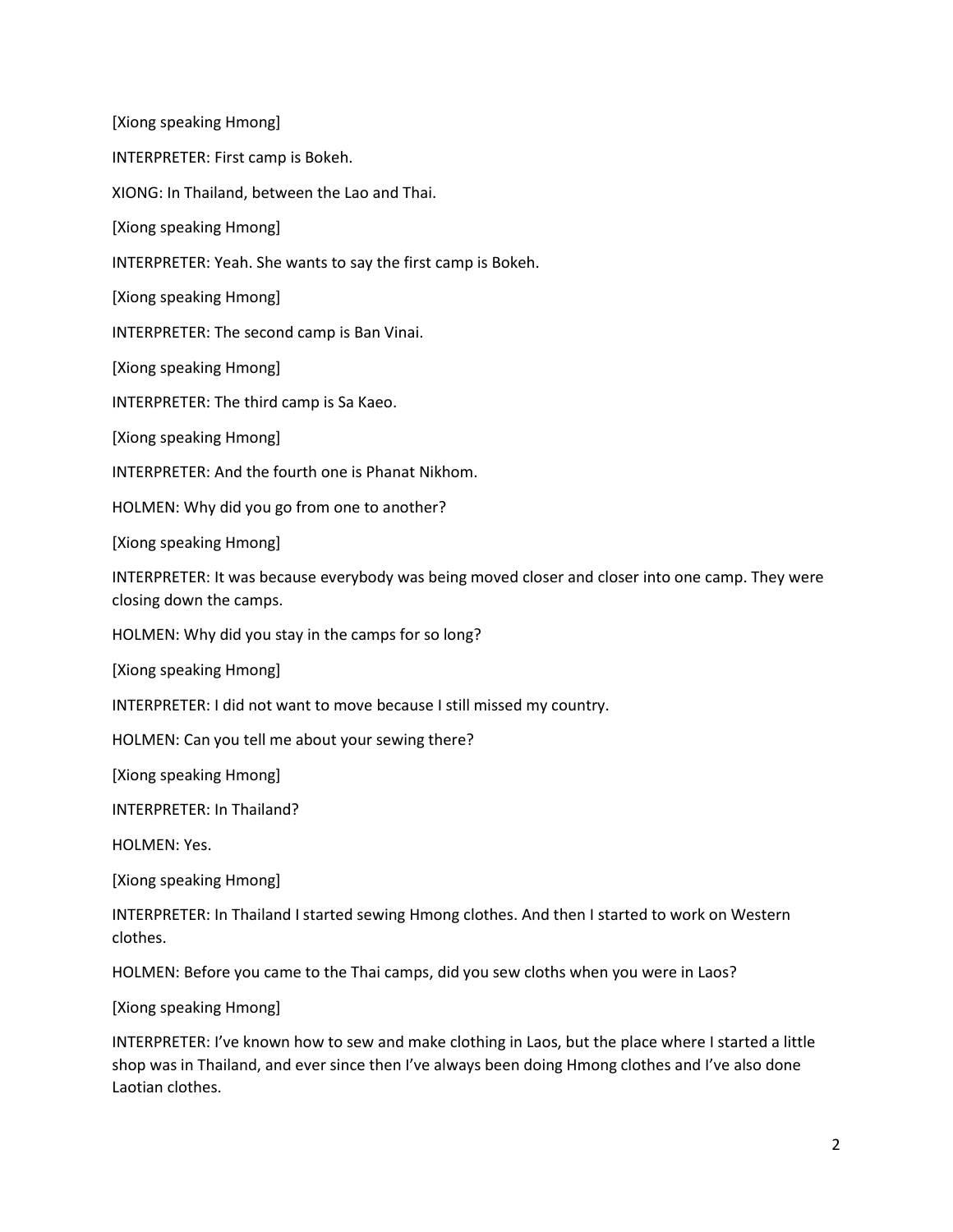INTERPRETER: First camp is Bokeh.

XIONG: In Thailand, between the Lao and Thai.

[Xiong speaking Hmong]

INTERPRETER: Yeah. She wants to say the first camp is Bokeh.

[Xiong speaking Hmong]

INTERPRETER: The second camp is Ban Vinai.

[Xiong speaking Hmong]

INTERPRETER: The third camp is Sa Kaeo.

[Xiong speaking Hmong]

INTERPRETER: And the fourth one is Phanat Nikhom.

HOLMEN: Why did you go from one to another?

[Xiong speaking Hmong]

INTERPRETER: It was because everybody was being moved closer and closer into one camp. They were closing down the camps.

HOLMEN: Why did you stay in the camps for so long?

[Xiong speaking Hmong]

INTERPRETER: I did not want to move because I still missed my country.

HOLMEN: Can you tell me about your sewing there?

[Xiong speaking Hmong]

INTERPRETER: In Thailand?

HOLMEN: Yes.

[Xiong speaking Hmong]

INTERPRETER: In Thailand I started sewing Hmong clothes. And then I started to work on Western clothes.

HOLMEN: Before you came to the Thai camps, did you sew cloths when you were in Laos?

[Xiong speaking Hmong]

INTERPRETER: I've known how to sew and make clothing in Laos, but the place where I started a little shop was in Thailand, and ever since then I've always been doing Hmong clothes and I've also done Laotian clothes.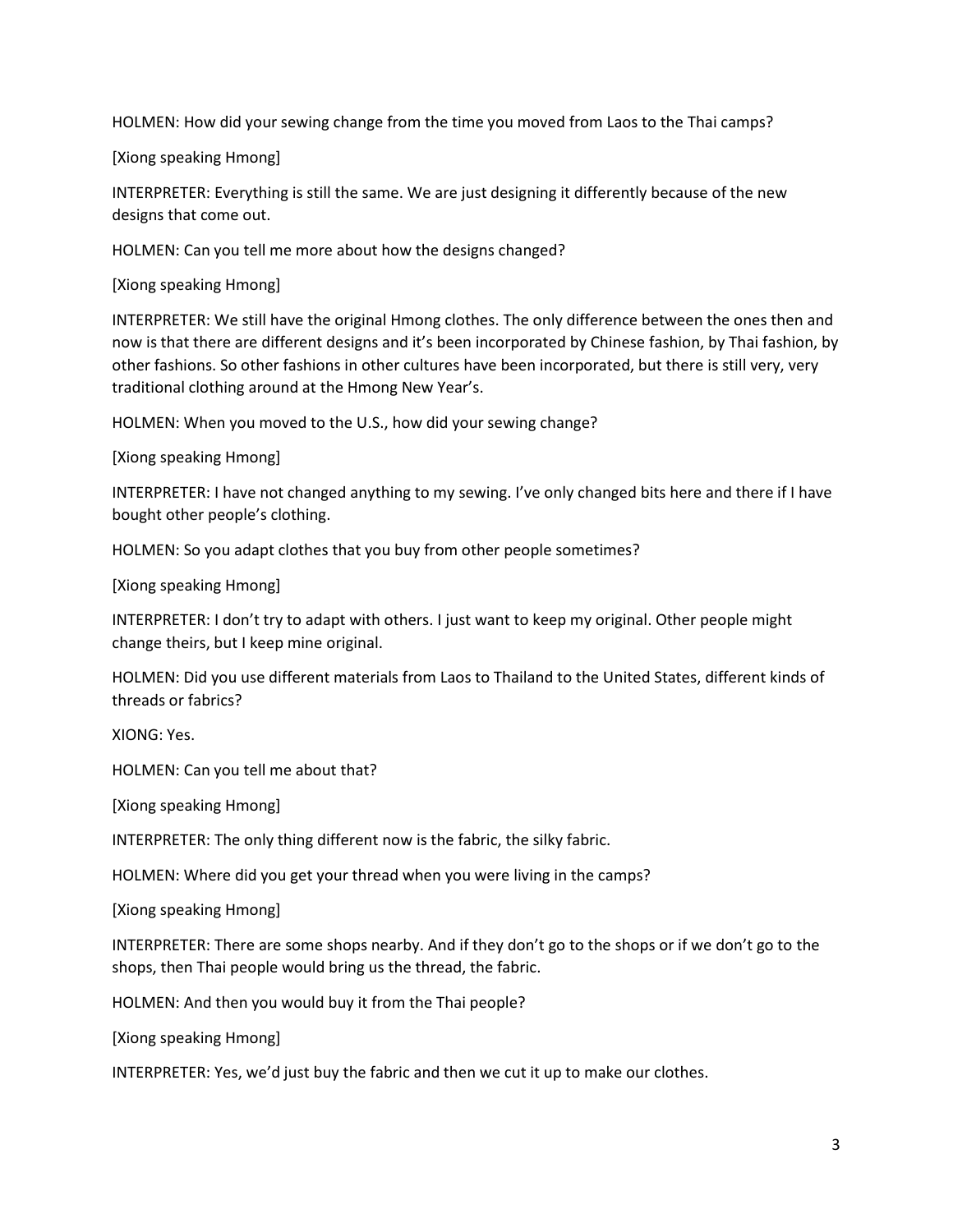HOLMEN: How did your sewing change from the time you moved from Laos to the Thai camps?

[Xiong speaking Hmong]

INTERPRETER: Everything is still the same. We are just designing it differently because of the new designs that come out.

HOLMEN: Can you tell me more about how the designs changed?

[Xiong speaking Hmong]

INTERPRETER: We still have the original Hmong clothes. The only difference between the ones then and now is that there are different designs and it's been incorporated by Chinese fashion, by Thai fashion, by other fashions. So other fashions in other cultures have been incorporated, but there is still very, very traditional clothing around at the Hmong New Year's.

HOLMEN: When you moved to the U.S., how did your sewing change?

[Xiong speaking Hmong]

INTERPRETER: I have not changed anything to my sewing. I've only changed bits here and there if I have bought other people's clothing.

HOLMEN: So you adapt clothes that you buy from other people sometimes?

[Xiong speaking Hmong]

INTERPRETER: I don't try to adapt with others. I just want to keep my original. Other people might change theirs, but I keep mine original.

HOLMEN: Did you use different materials from Laos to Thailand to the United States, different kinds of threads or fabrics?

XIONG: Yes.

HOLMEN: Can you tell me about that?

[Xiong speaking Hmong]

INTERPRETER: The only thing different now is the fabric, the silky fabric.

HOLMEN: Where did you get your thread when you were living in the camps?

[Xiong speaking Hmong]

INTERPRETER: There are some shops nearby. And if they don't go to the shops or if we don't go to the shops, then Thai people would bring us the thread, the fabric.

HOLMEN: And then you would buy it from the Thai people?

[Xiong speaking Hmong]

INTERPRETER: Yes, we'd just buy the fabric and then we cut it up to make our clothes.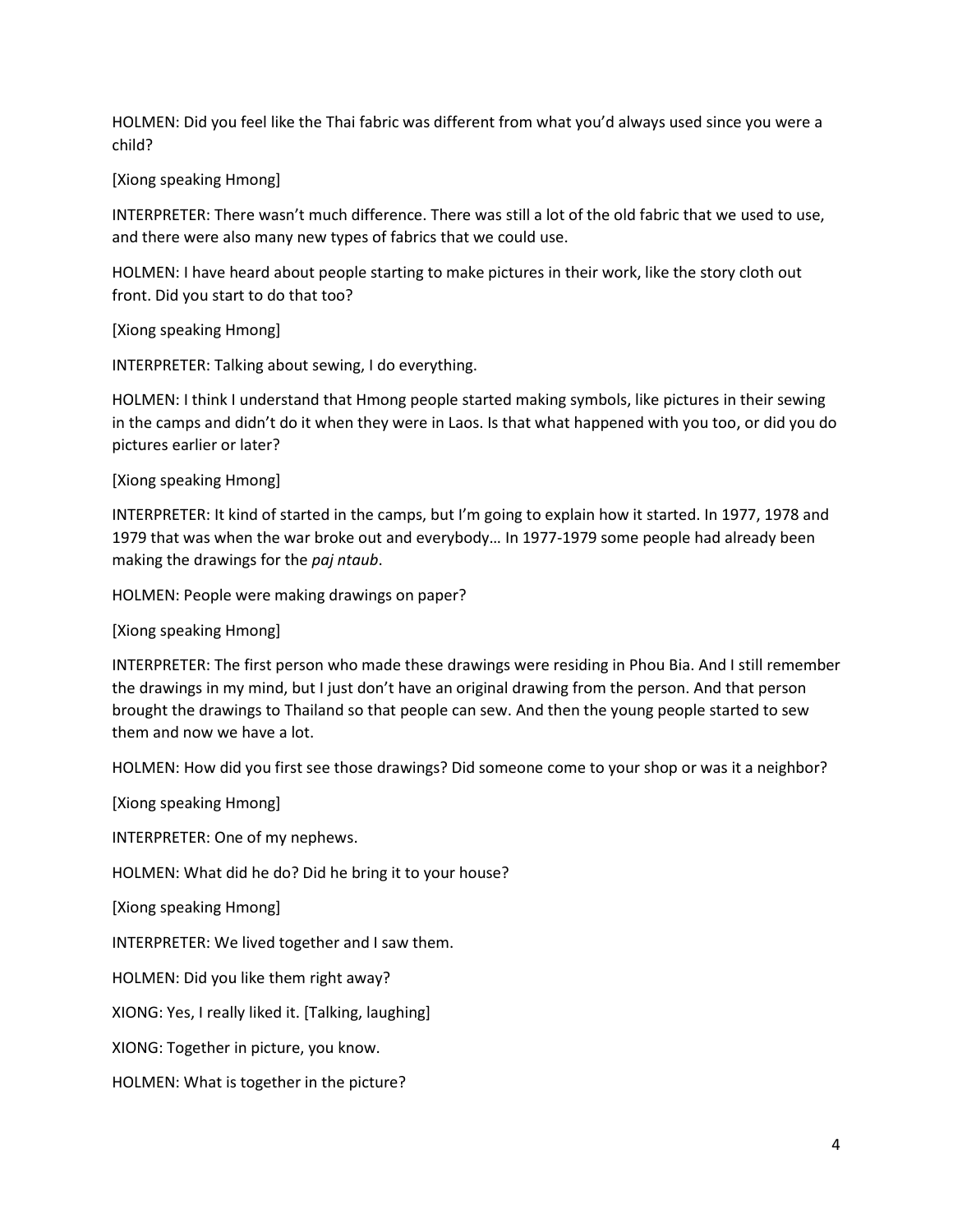HOLMEN: Did you feel like the Thai fabric was different from what you'd always used since you were a child?

[Xiong speaking Hmong]

INTERPRETER: There wasn't much difference. There was still a lot of the old fabric that we used to use, and there were also many new types of fabrics that we could use.

HOLMEN: I have heard about people starting to make pictures in their work, like the story cloth out front. Did you start to do that too?

[Xiong speaking Hmong]

INTERPRETER: Talking about sewing, I do everything.

HOLMEN: I think I understand that Hmong people started making symbols, like pictures in their sewing in the camps and didn't do it when they were in Laos. Is that what happened with you too, or did you do pictures earlier or later?

[Xiong speaking Hmong]

INTERPRETER: It kind of started in the camps, but I'm going to explain how it started. In 1977, 1978 and 1979 that was when the war broke out and everybody… In 1977-1979 some people had already been making the drawings for the *paj ntaub*.

HOLMEN: People were making drawings on paper?

[Xiong speaking Hmong]

INTERPRETER: The first person who made these drawings were residing in Phou Bia. And I still remember the drawings in my mind, but I just don't have an original drawing from the person. And that person brought the drawings to Thailand so that people can sew. And then the young people started to sew them and now we have a lot.

HOLMEN: How did you first see those drawings? Did someone come to your shop or was it a neighbor?

[Xiong speaking Hmong]

INTERPRETER: One of my nephews.

HOLMEN: What did he do? Did he bring it to your house?

[Xiong speaking Hmong]

INTERPRETER: We lived together and I saw them.

HOLMEN: Did you like them right away?

XIONG: Yes, I really liked it. [Talking, laughing]

XIONG: Together in picture, you know.

HOLMEN: What is together in the picture?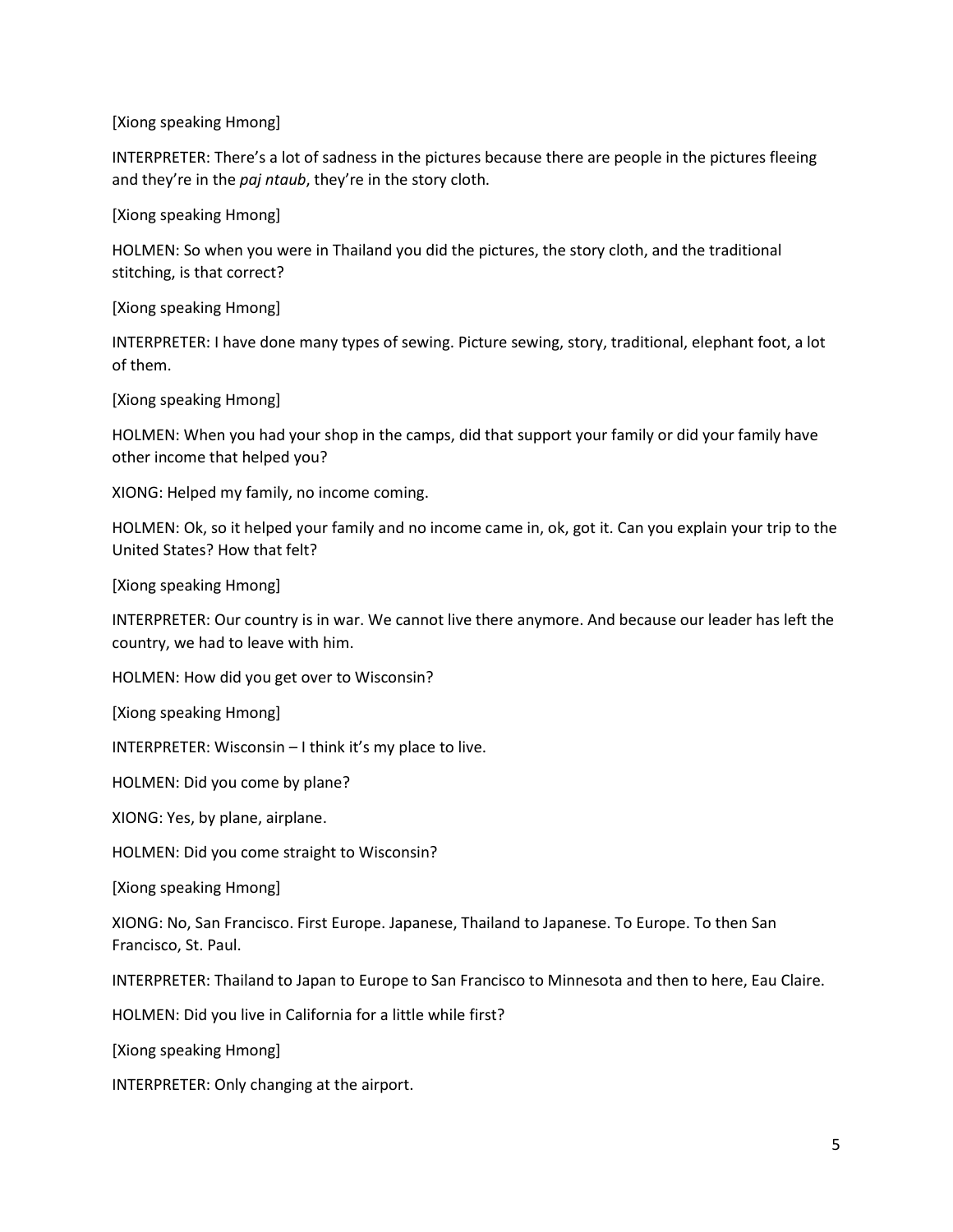INTERPRETER: There's a lot of sadness in the pictures because there are people in the pictures fleeing and they're in the *paj ntaub*, they're in the story cloth.

[Xiong speaking Hmong]

HOLMEN: So when you were in Thailand you did the pictures, the story cloth, and the traditional stitching, is that correct?

[Xiong speaking Hmong]

INTERPRETER: I have done many types of sewing. Picture sewing, story, traditional, elephant foot, a lot of them.

[Xiong speaking Hmong]

HOLMEN: When you had your shop in the camps, did that support your family or did your family have other income that helped you?

XIONG: Helped my family, no income coming.

HOLMEN: Ok, so it helped your family and no income came in, ok, got it. Can you explain your trip to the United States? How that felt?

[Xiong speaking Hmong]

INTERPRETER: Our country is in war. We cannot live there anymore. And because our leader has left the country, we had to leave with him.

HOLMEN: How did you get over to Wisconsin?

[Xiong speaking Hmong]

INTERPRETER: Wisconsin – I think it's my place to live.

HOLMEN: Did you come by plane?

XIONG: Yes, by plane, airplane.

HOLMEN: Did you come straight to Wisconsin?

[Xiong speaking Hmong]

XIONG: No, San Francisco. First Europe. Japanese, Thailand to Japanese. To Europe. To then San Francisco, St. Paul.

INTERPRETER: Thailand to Japan to Europe to San Francisco to Minnesota and then to here, Eau Claire.

HOLMEN: Did you live in California for a little while first?

[Xiong speaking Hmong]

INTERPRETER: Only changing at the airport.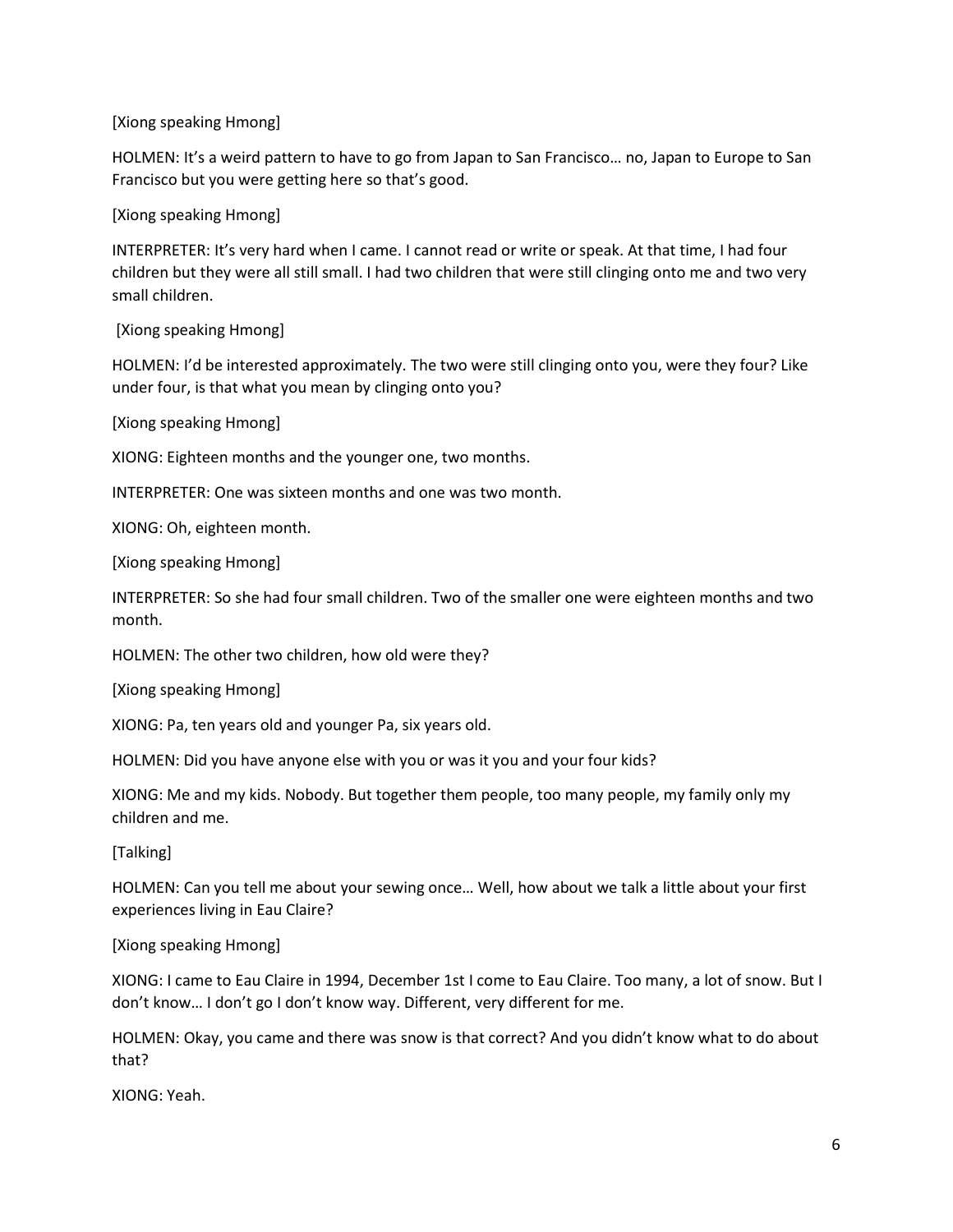HOLMEN: It's a weird pattern to have to go from Japan to San Francisco… no, Japan to Europe to San Francisco but you were getting here so that's good.

[Xiong speaking Hmong]

INTERPRETER: It's very hard when I came. I cannot read or write or speak. At that time, I had four children but they were all still small. I had two children that were still clinging onto me and two very small children.

[Xiong speaking Hmong]

HOLMEN: I'd be interested approximately. The two were still clinging onto you, were they four? Like under four, is that what you mean by clinging onto you?

[Xiong speaking Hmong]

XIONG: Eighteen months and the younger one, two months.

INTERPRETER: One was sixteen months and one was two month.

XIONG: Oh, eighteen month.

[Xiong speaking Hmong]

INTERPRETER: So she had four small children. Two of the smaller one were eighteen months and two month.

HOLMEN: The other two children, how old were they?

[Xiong speaking Hmong]

XIONG: Pa, ten years old and younger Pa, six years old.

HOLMEN: Did you have anyone else with you or was it you and your four kids?

XIONG: Me and my kids. Nobody. But together them people, too many people, my family only my children and me.

[Talking]

HOLMEN: Can you tell me about your sewing once… Well, how about we talk a little about your first experiences living in Eau Claire?

[Xiong speaking Hmong]

XIONG: I came to Eau Claire in 1994, December 1st I come to Eau Claire. Too many, a lot of snow. But I don't know… I don't go I don't know way. Different, very different for me.

HOLMEN: Okay, you came and there was snow is that correct? And you didn't know what to do about that?

XIONG: Yeah.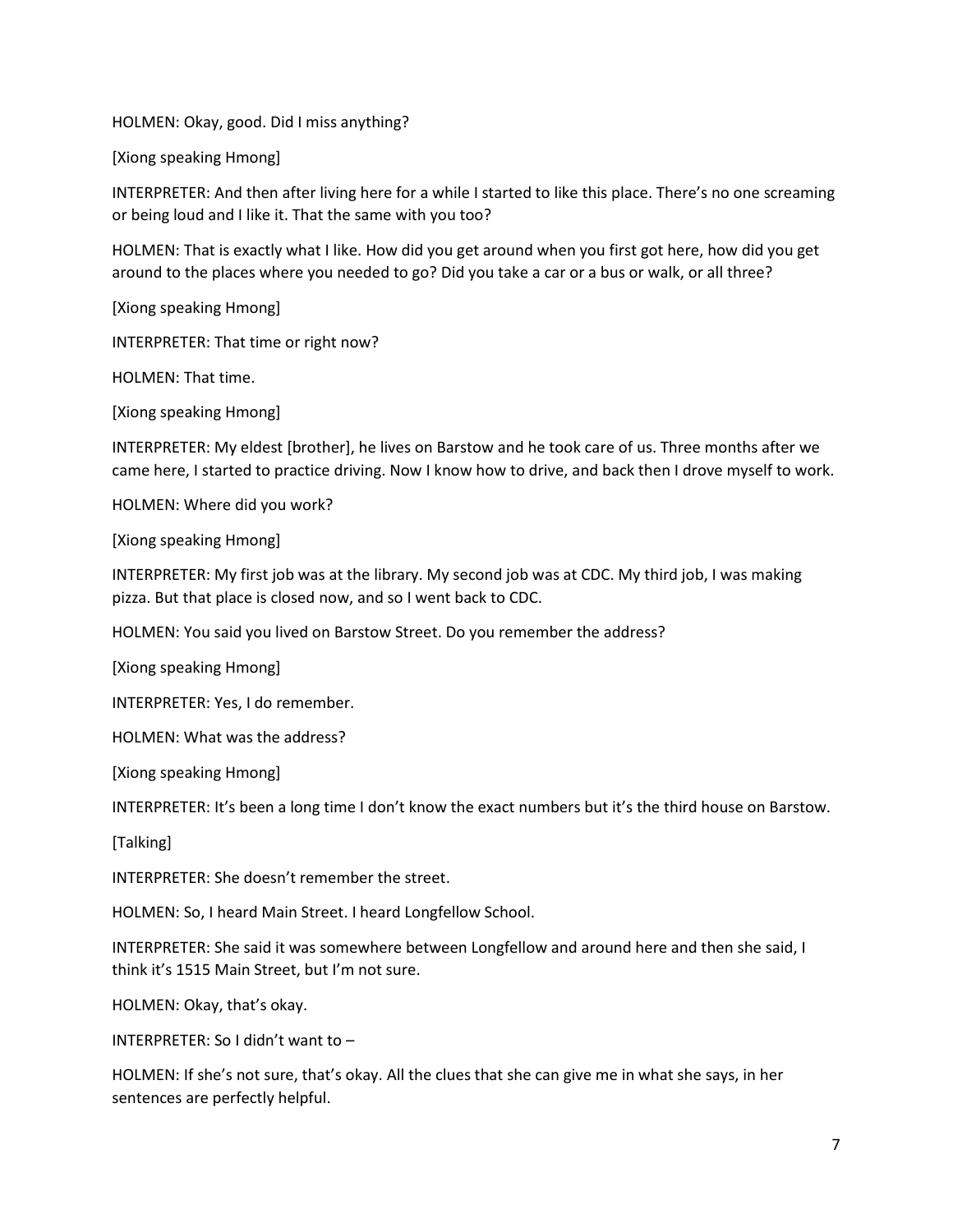HOLMEN: Okay, good. Did I miss anything?

[Xiong speaking Hmong]

INTERPRETER: And then after living here for a while I started to like this place. There's no one screaming or being loud and I like it. That the same with you too?

HOLMEN: That is exactly what I like. How did you get around when you first got here, how did you get around to the places where you needed to go? Did you take a car or a bus or walk, or all three?

[Xiong speaking Hmong]

INTERPRETER: That time or right now?

HOLMEN: That time.

[Xiong speaking Hmong]

INTERPRETER: My eldest [brother], he lives on Barstow and he took care of us. Three months after we came here, I started to practice driving. Now I know how to drive, and back then I drove myself to work.

HOLMEN: Where did you work?

[Xiong speaking Hmong]

INTERPRETER: My first job was at the library. My second job was at CDC. My third job, I was making pizza. But that place is closed now, and so I went back to CDC.

HOLMEN: You said you lived on Barstow Street. Do you remember the address?

[Xiong speaking Hmong]

INTERPRETER: Yes, I do remember.

HOLMEN: What was the address?

[Xiong speaking Hmong]

INTERPRETER: It's been a long time I don't know the exact numbers but it's the third house on Barstow.

[Talking]

INTERPRETER: She doesn't remember the street.

HOLMEN: So, I heard Main Street. I heard Longfellow School.

INTERPRETER: She said it was somewhere between Longfellow and around here and then she said, I think it's 1515 Main Street, but I'm not sure.

HOLMEN: Okay, that's okay.

INTERPRETER: So I didn't want to –

HOLMEN: If she's not sure, that's okay. All the clues that she can give me in what she says, in her sentences are perfectly helpful.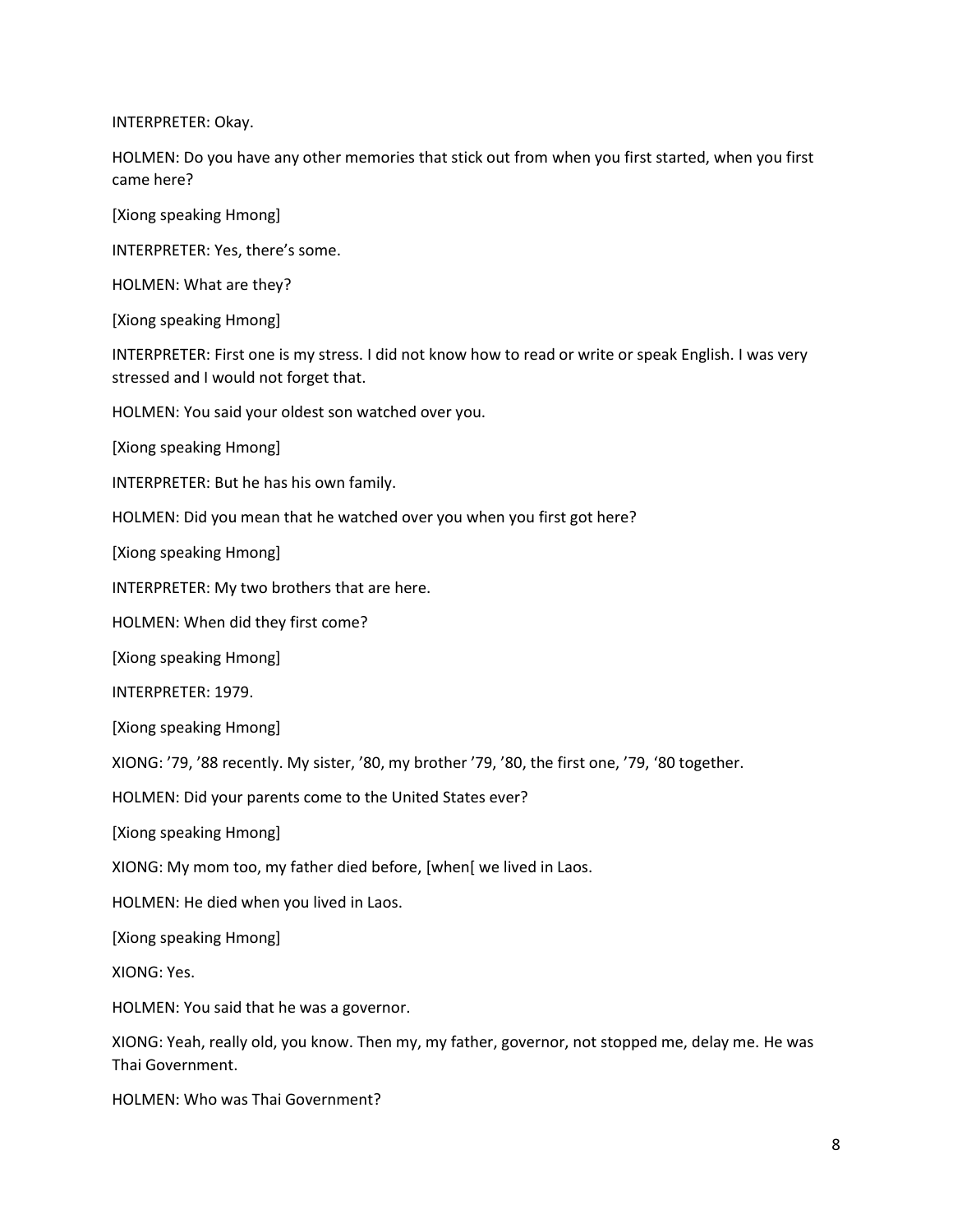INTERPRETER: Okay.

HOLMEN: Do you have any other memories that stick out from when you first started, when you first came here?

[Xiong speaking Hmong]

INTERPRETER: Yes, there's some.

HOLMEN: What are they?

[Xiong speaking Hmong]

INTERPRETER: First one is my stress. I did not know how to read or write or speak English. I was very stressed and I would not forget that.

HOLMEN: You said your oldest son watched over you.

[Xiong speaking Hmong]

INTERPRETER: But he has his own family.

HOLMEN: Did you mean that he watched over you when you first got here?

[Xiong speaking Hmong]

INTERPRETER: My two brothers that are here.

HOLMEN: When did they first come?

[Xiong speaking Hmong]

INTERPRETER: 1979.

[Xiong speaking Hmong]

XIONG: '79, '88 recently. My sister, '80, my brother '79, '80, the first one, '79, '80 together.

HOLMEN: Did your parents come to the United States ever?

[Xiong speaking Hmong]

XIONG: My mom too, my father died before, [when[ we lived in Laos.

HOLMEN: He died when you lived in Laos.

[Xiong speaking Hmong]

XIONG: Yes.

HOLMEN: You said that he was a governor.

XIONG: Yeah, really old, you know. Then my, my father, governor, not stopped me, delay me. He was Thai Government.

HOLMEN: Who was Thai Government?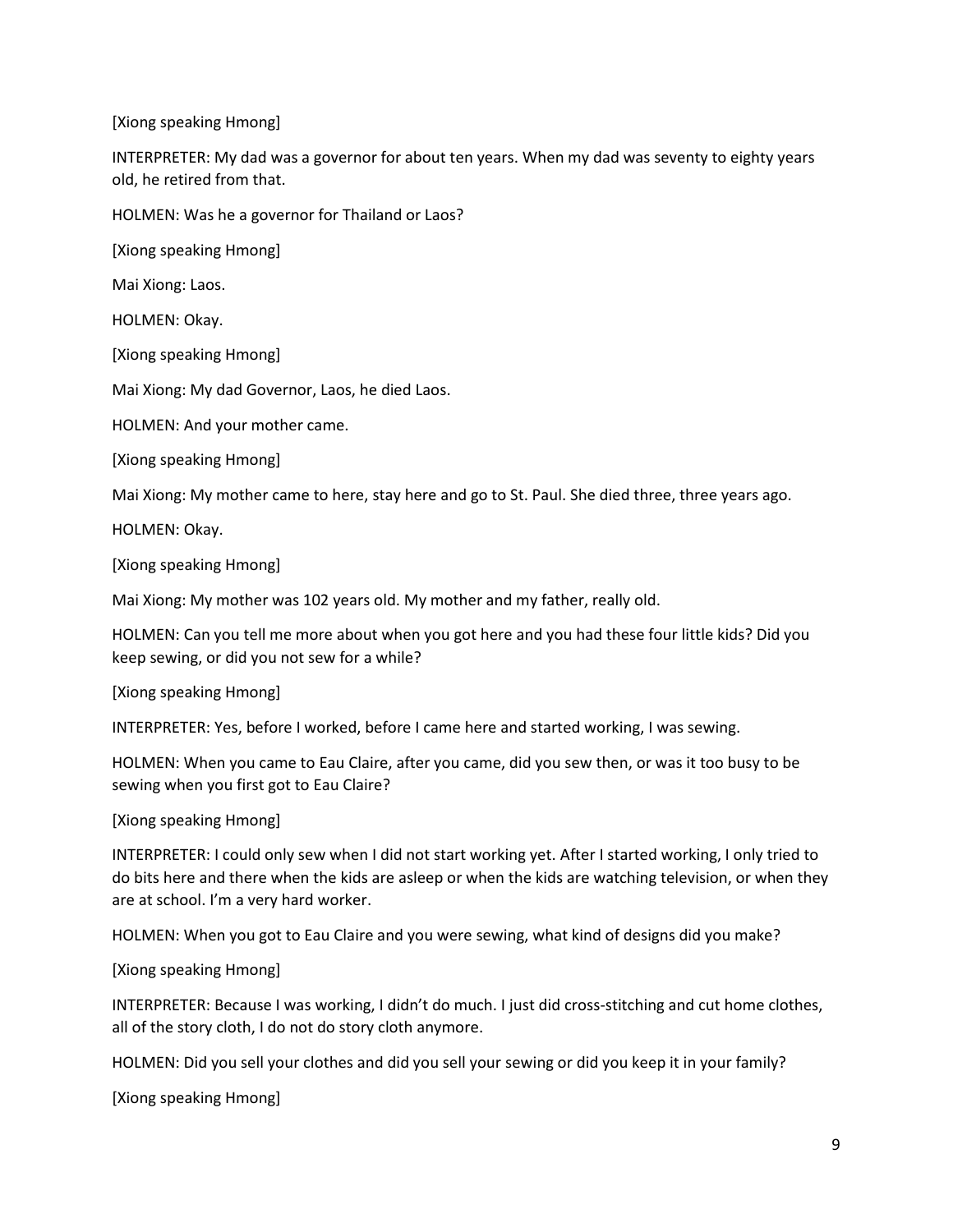INTERPRETER: My dad was a governor for about ten years. When my dad was seventy to eighty years old, he retired from that.

HOLMEN: Was he a governor for Thailand or Laos?

[Xiong speaking Hmong]

Mai Xiong: Laos.

HOLMEN: Okay.

[Xiong speaking Hmong]

Mai Xiong: My dad Governor, Laos, he died Laos.

HOLMEN: And your mother came.

[Xiong speaking Hmong]

Mai Xiong: My mother came to here, stay here and go to St. Paul. She died three, three years ago.

HOLMEN: Okay.

[Xiong speaking Hmong]

Mai Xiong: My mother was 102 years old. My mother and my father, really old.

HOLMEN: Can you tell me more about when you got here and you had these four little kids? Did you keep sewing, or did you not sew for a while?

[Xiong speaking Hmong]

INTERPRETER: Yes, before I worked, before I came here and started working, I was sewing.

HOLMEN: When you came to Eau Claire, after you came, did you sew then, or was it too busy to be sewing when you first got to Eau Claire?

[Xiong speaking Hmong]

INTERPRETER: I could only sew when I did not start working yet. After I started working, I only tried to do bits here and there when the kids are asleep or when the kids are watching television, or when they are at school. I'm a very hard worker.

HOLMEN: When you got to Eau Claire and you were sewing, what kind of designs did you make?

[Xiong speaking Hmong]

INTERPRETER: Because I was working, I didn't do much. I just did cross-stitching and cut home clothes, all of the story cloth, I do not do story cloth anymore.

HOLMEN: Did you sell your clothes and did you sell your sewing or did you keep it in your family?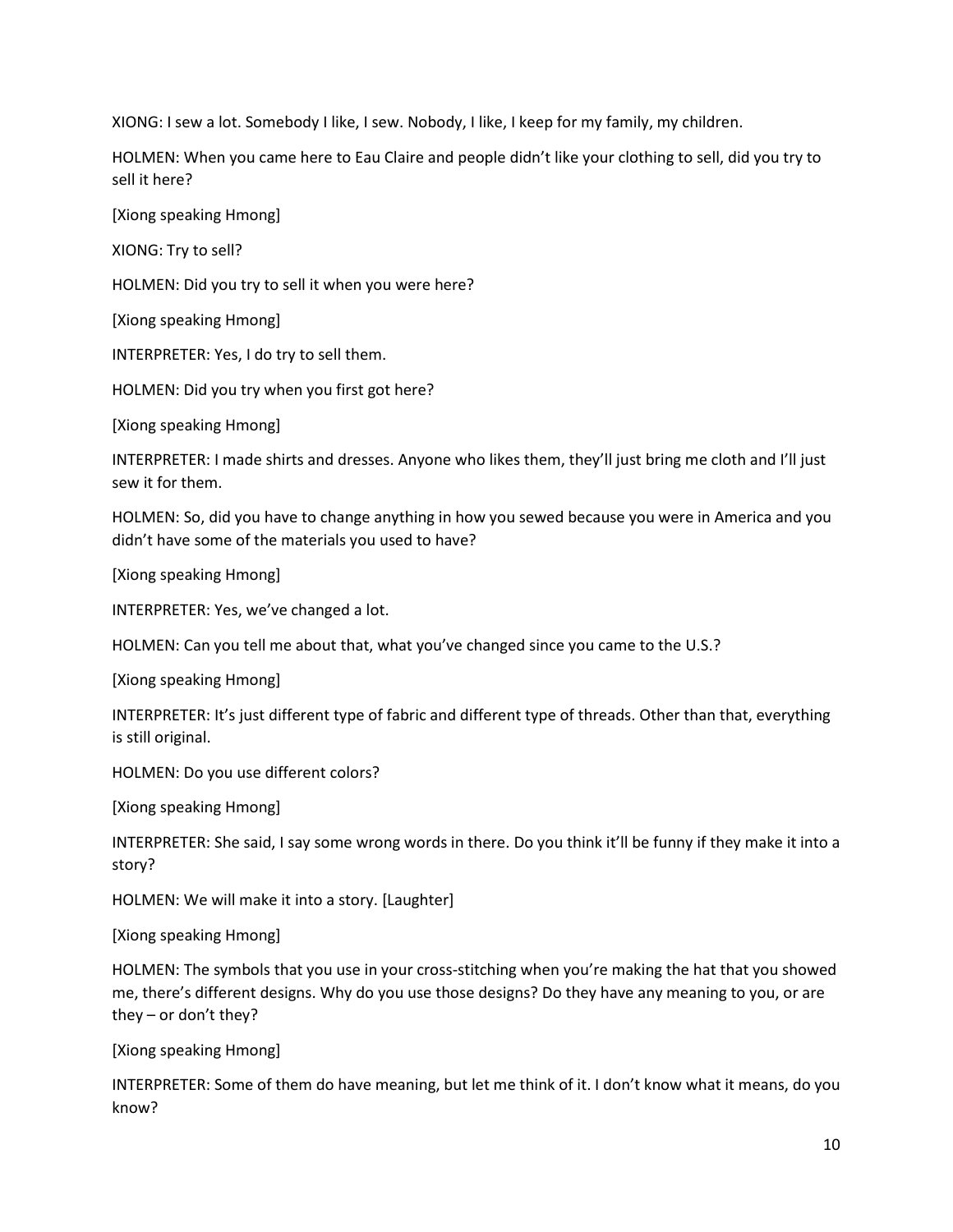XIONG: I sew a lot. Somebody I like, I sew. Nobody, I like, I keep for my family, my children.

HOLMEN: When you came here to Eau Claire and people didn't like your clothing to sell, did you try to sell it here?

[Xiong speaking Hmong]

XIONG: Try to sell?

HOLMEN: Did you try to sell it when you were here?

[Xiong speaking Hmong]

INTERPRETER: Yes, I do try to sell them.

HOLMEN: Did you try when you first got here?

[Xiong speaking Hmong]

INTERPRETER: I made shirts and dresses. Anyone who likes them, they'll just bring me cloth and I'll just sew it for them.

HOLMEN: So, did you have to change anything in how you sewed because you were in America and you didn't have some of the materials you used to have?

[Xiong speaking Hmong]

INTERPRETER: Yes, we've changed a lot.

HOLMEN: Can you tell me about that, what you've changed since you came to the U.S.?

[Xiong speaking Hmong]

INTERPRETER: It's just different type of fabric and different type of threads. Other than that, everything is still original.

HOLMEN: Do you use different colors?

[Xiong speaking Hmong]

INTERPRETER: She said, I say some wrong words in there. Do you think it'll be funny if they make it into a story?

HOLMEN: We will make it into a story. [Laughter]

[Xiong speaking Hmong]

HOLMEN: The symbols that you use in your cross-stitching when you're making the hat that you showed me, there's different designs. Why do you use those designs? Do they have any meaning to you, or are they – or don't they?

[Xiong speaking Hmong]

INTERPRETER: Some of them do have meaning, but let me think of it. I don't know what it means, do you know?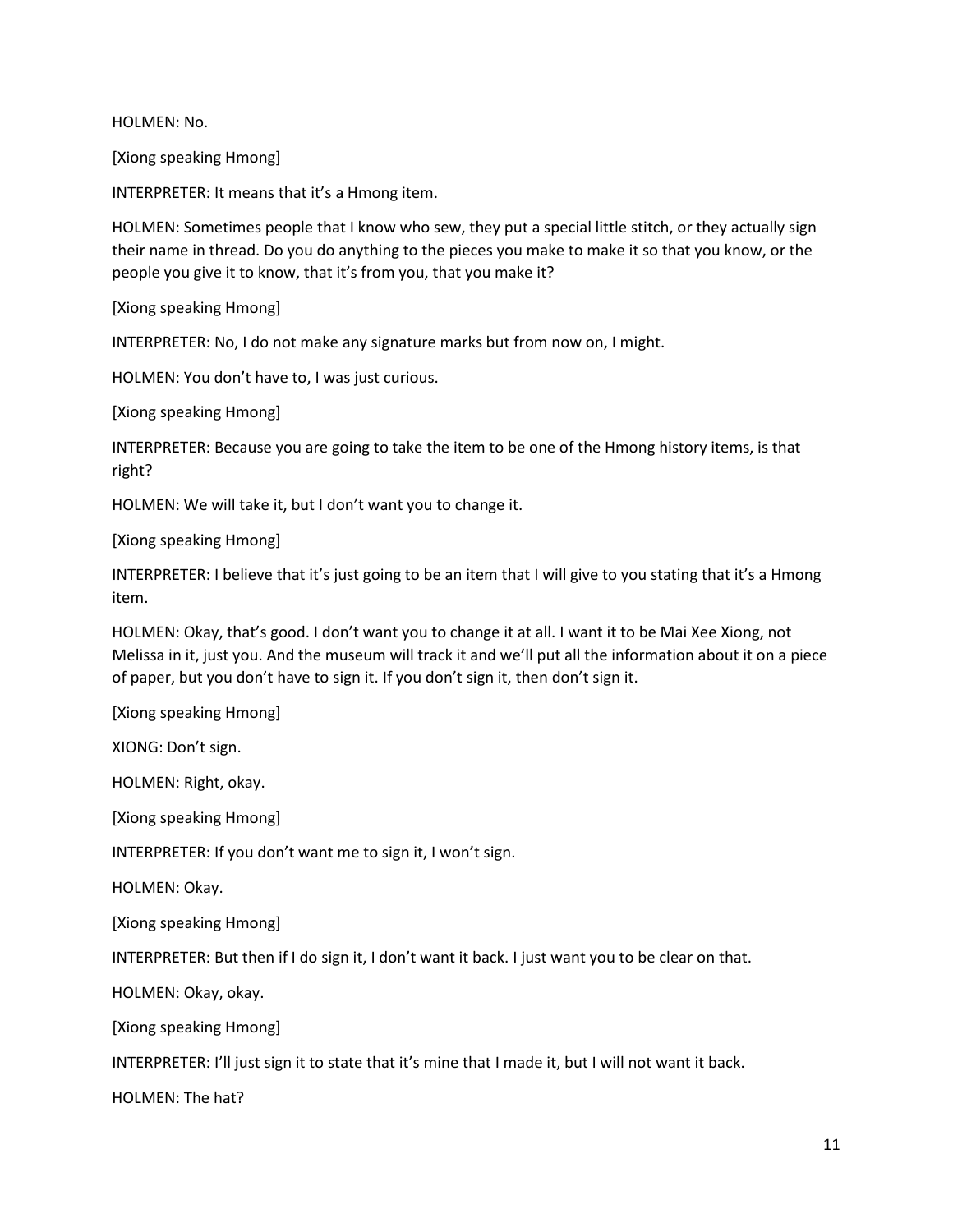HOLMEN: No.

[Xiong speaking Hmong]

INTERPRETER: It means that it's a Hmong item.

HOLMEN: Sometimes people that I know who sew, they put a special little stitch, or they actually sign their name in thread. Do you do anything to the pieces you make to make it so that you know, or the people you give it to know, that it's from you, that you make it?

[Xiong speaking Hmong]

INTERPRETER: No, I do not make any signature marks but from now on, I might.

HOLMEN: You don't have to, I was just curious.

[Xiong speaking Hmong]

INTERPRETER: Because you are going to take the item to be one of the Hmong history items, is that right?

HOLMEN: We will take it, but I don't want you to change it.

[Xiong speaking Hmong]

INTERPRETER: I believe that it's just going to be an item that I will give to you stating that it's a Hmong item.

HOLMEN: Okay, that's good. I don't want you to change it at all. I want it to be Mai Xee Xiong, not Melissa in it, just you. And the museum will track it and we'll put all the information about it on a piece of paper, but you don't have to sign it. If you don't sign it, then don't sign it.

[Xiong speaking Hmong]

XIONG: Don't sign.

HOLMEN: Right, okay.

[Xiong speaking Hmong]

INTERPRETER: If you don't want me to sign it, I won't sign.

HOLMEN: Okay.

[Xiong speaking Hmong]

INTERPRETER: But then if I do sign it, I don't want it back. I just want you to be clear on that.

HOLMEN: Okay, okay.

[Xiong speaking Hmong]

INTERPRETER: I'll just sign it to state that it's mine that I made it, but I will not want it back.

HOLMEN: The hat?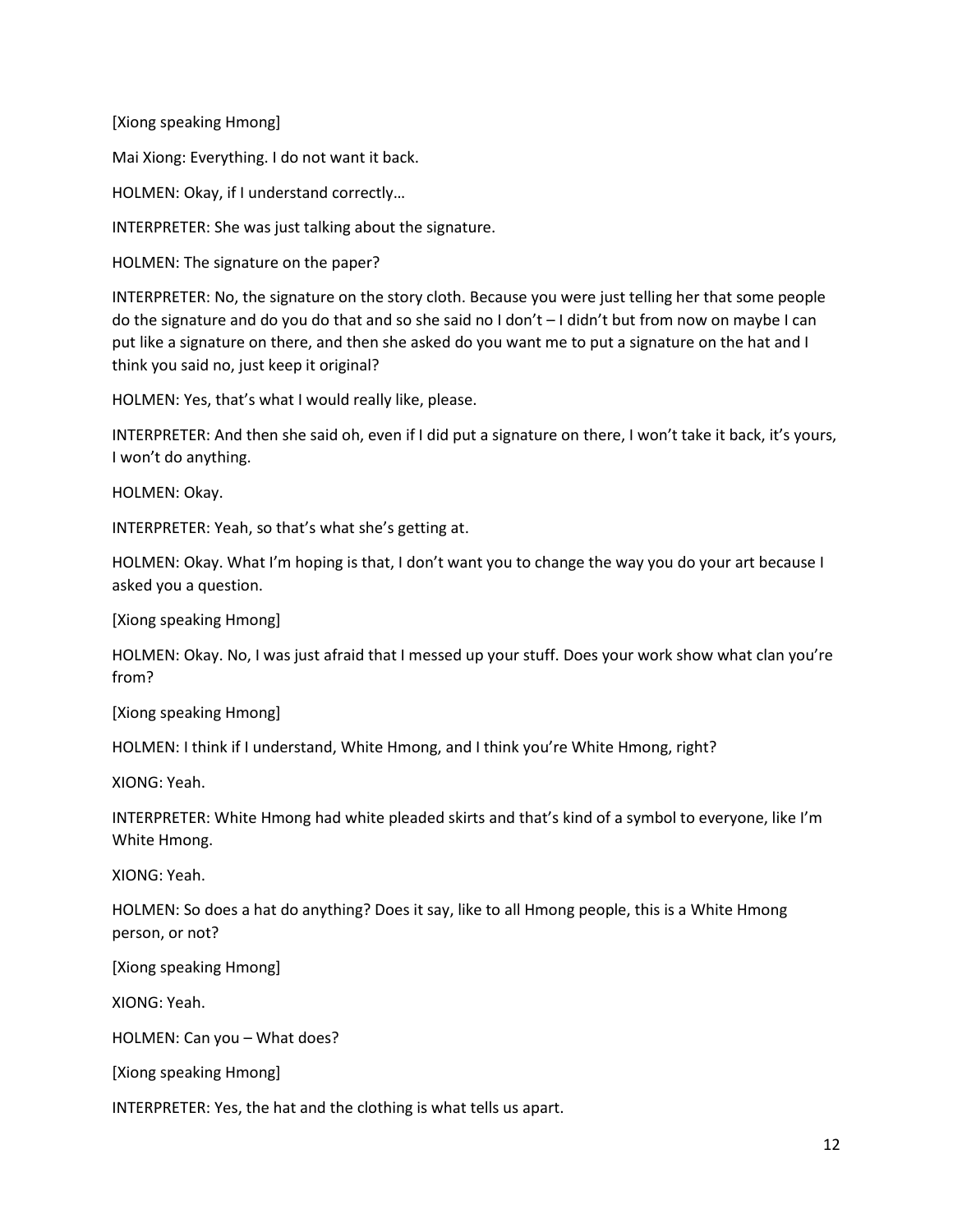Mai Xiong: Everything. I do not want it back.

HOLMEN: Okay, if I understand correctly…

INTERPRETER: She was just talking about the signature.

HOLMEN: The signature on the paper?

INTERPRETER: No, the signature on the story cloth. Because you were just telling her that some people do the signature and do you do that and so she said no I don't – I didn't but from now on maybe I can put like a signature on there, and then she asked do you want me to put a signature on the hat and I think you said no, just keep it original?

HOLMEN: Yes, that's what I would really like, please.

INTERPRETER: And then she said oh, even if I did put a signature on there, I won't take it back, it's yours, I won't do anything.

HOLMEN: Okay.

INTERPRETER: Yeah, so that's what she's getting at.

HOLMEN: Okay. What I'm hoping is that, I don't want you to change the way you do your art because I asked you a question.

[Xiong speaking Hmong]

HOLMEN: Okay. No, I was just afraid that I messed up your stuff. Does your work show what clan you're from?

[Xiong speaking Hmong]

HOLMEN: I think if I understand, White Hmong, and I think you're White Hmong, right?

XIONG: Yeah.

INTERPRETER: White Hmong had white pleaded skirts and that's kind of a symbol to everyone, like I'm White Hmong.

XIONG: Yeah.

HOLMEN: So does a hat do anything? Does it say, like to all Hmong people, this is a White Hmong person, or not?

[Xiong speaking Hmong]

XIONG: Yeah.

HOLMEN: Can you – What does?

[Xiong speaking Hmong]

INTERPRETER: Yes, the hat and the clothing is what tells us apart.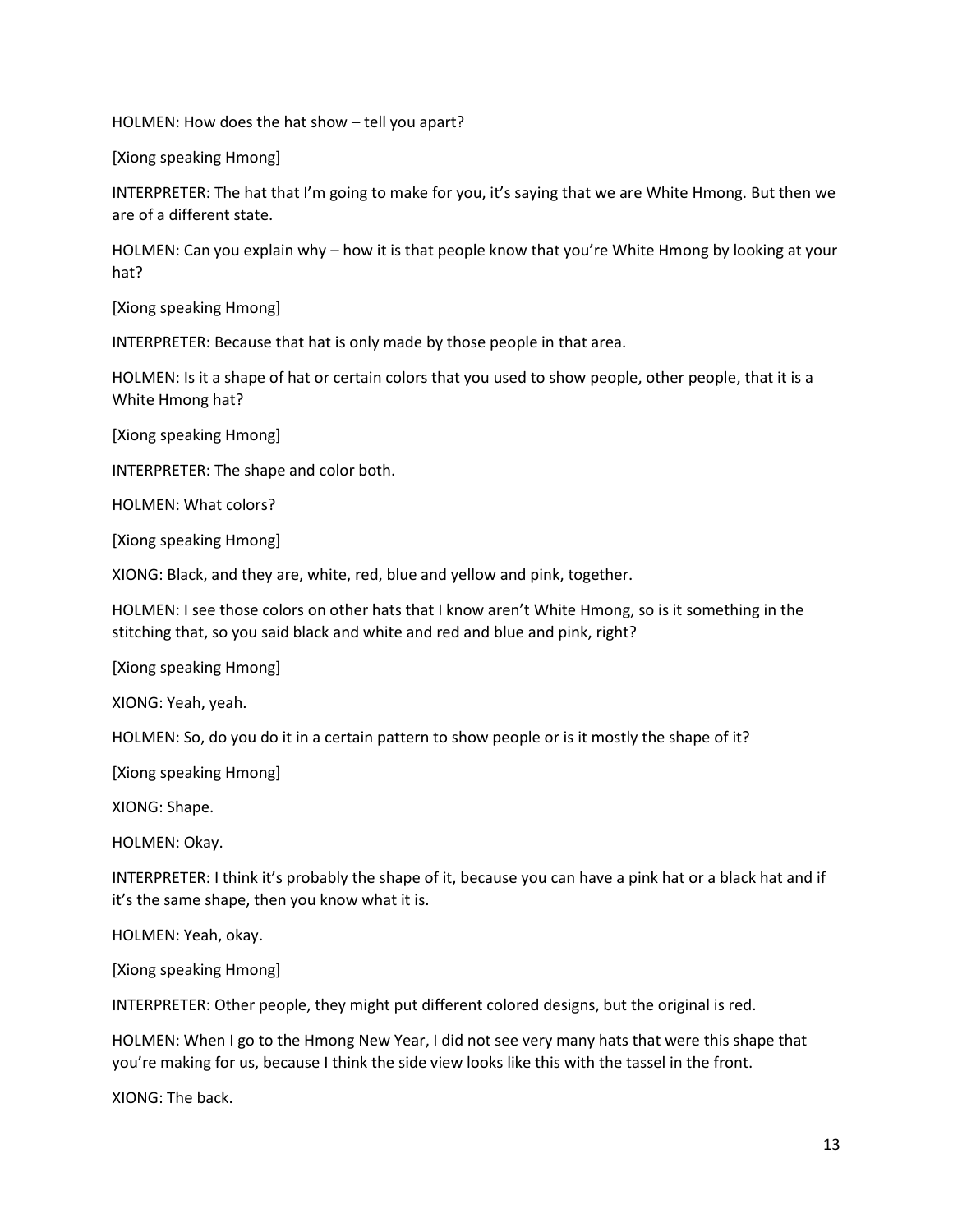HOLMEN: How does the hat show – tell you apart?

[Xiong speaking Hmong]

INTERPRETER: The hat that I'm going to make for you, it's saying that we are White Hmong. But then we are of a different state.

HOLMEN: Can you explain why – how it is that people know that you're White Hmong by looking at your hat?

[Xiong speaking Hmong]

INTERPRETER: Because that hat is only made by those people in that area.

HOLMEN: Is it a shape of hat or certain colors that you used to show people, other people, that it is a White Hmong hat?

[Xiong speaking Hmong]

INTERPRETER: The shape and color both.

HOLMEN: What colors?

[Xiong speaking Hmong]

XIONG: Black, and they are, white, red, blue and yellow and pink, together.

HOLMEN: I see those colors on other hats that I know aren't White Hmong, so is it something in the stitching that, so you said black and white and red and blue and pink, right?

[Xiong speaking Hmong]

XIONG: Yeah, yeah.

HOLMEN: So, do you do it in a certain pattern to show people or is it mostly the shape of it?

[Xiong speaking Hmong]

XIONG: Shape.

HOLMEN: Okay.

INTERPRETER: I think it's probably the shape of it, because you can have a pink hat or a black hat and if it's the same shape, then you know what it is.

HOLMEN: Yeah, okay.

[Xiong speaking Hmong]

INTERPRETER: Other people, they might put different colored designs, but the original is red.

HOLMEN: When I go to the Hmong New Year, I did not see very many hats that were this shape that you're making for us, because I think the side view looks like this with the tassel in the front.

XIONG: The back.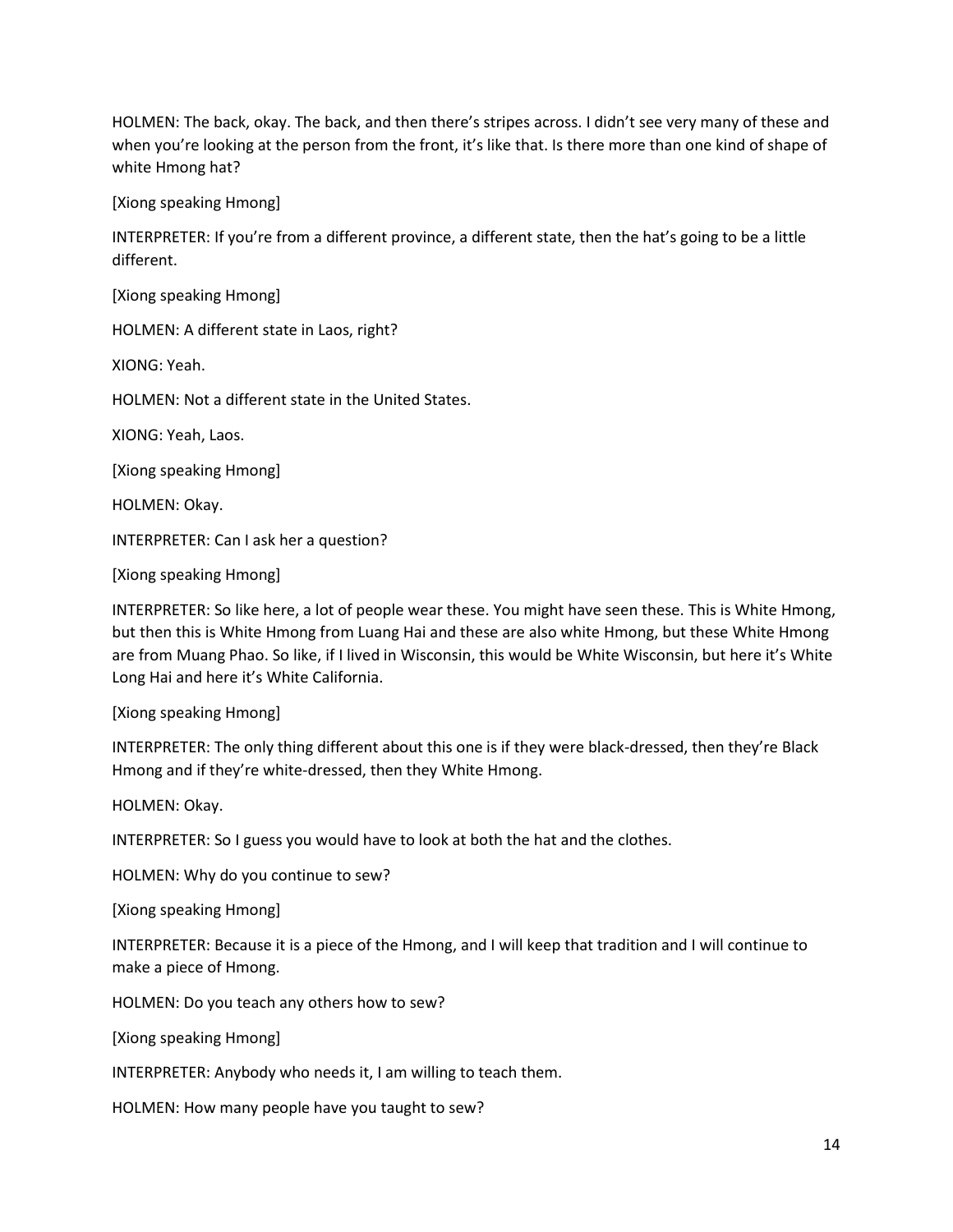HOLMEN: The back, okay. The back, and then there's stripes across. I didn't see very many of these and when you're looking at the person from the front, it's like that. Is there more than one kind of shape of white Hmong hat?

[Xiong speaking Hmong]

INTERPRETER: If you're from a different province, a different state, then the hat's going to be a little different.

[Xiong speaking Hmong]

HOLMEN: A different state in Laos, right?

XIONG: Yeah.

HOLMEN: Not a different state in the United States.

XIONG: Yeah, Laos.

[Xiong speaking Hmong]

HOLMEN: Okay.

INTERPRETER: Can I ask her a question?

[Xiong speaking Hmong]

INTERPRETER: So like here, a lot of people wear these. You might have seen these. This is White Hmong, but then this is White Hmong from Luang Hai and these are also white Hmong, but these White Hmong are from Muang Phao. So like, if I lived in Wisconsin, this would be White Wisconsin, but here it's White Long Hai and here it's White California.

[Xiong speaking Hmong]

INTERPRETER: The only thing different about this one is if they were black-dressed, then they're Black Hmong and if they're white-dressed, then they White Hmong.

HOLMEN: Okay.

INTERPRETER: So I guess you would have to look at both the hat and the clothes.

HOLMEN: Why do you continue to sew?

[Xiong speaking Hmong]

INTERPRETER: Because it is a piece of the Hmong, and I will keep that tradition and I will continue to make a piece of Hmong.

HOLMEN: Do you teach any others how to sew?

[Xiong speaking Hmong]

INTERPRETER: Anybody who needs it, I am willing to teach them.

HOLMEN: How many people have you taught to sew?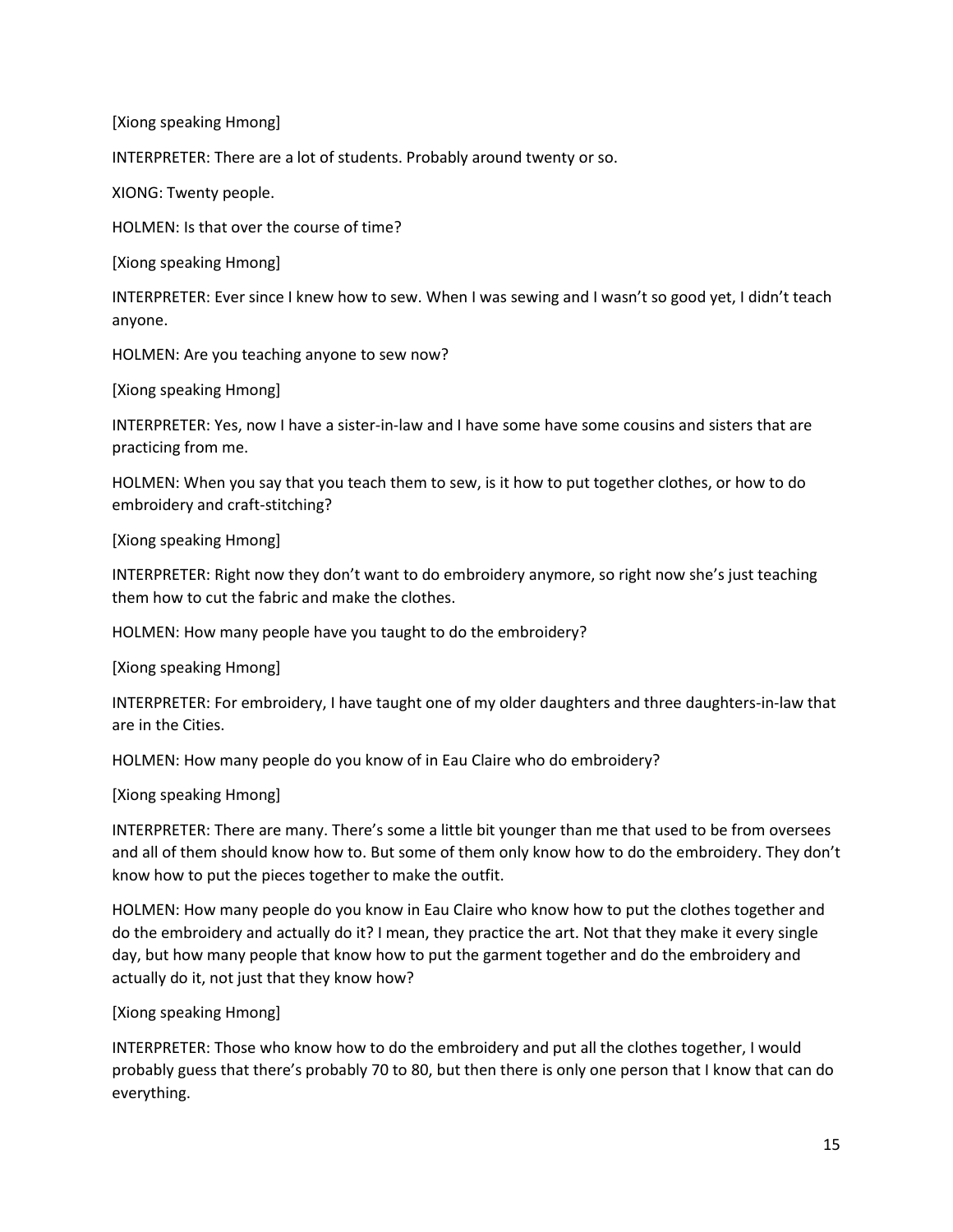INTERPRETER: There are a lot of students. Probably around twenty or so.

XIONG: Twenty people.

HOLMEN: Is that over the course of time?

[Xiong speaking Hmong]

INTERPRETER: Ever since I knew how to sew. When I was sewing and I wasn't so good yet, I didn't teach anyone.

HOLMEN: Are you teaching anyone to sew now?

[Xiong speaking Hmong]

INTERPRETER: Yes, now I have a sister-in-law and I have some have some cousins and sisters that are practicing from me.

HOLMEN: When you say that you teach them to sew, is it how to put together clothes, or how to do embroidery and craft-stitching?

[Xiong speaking Hmong]

INTERPRETER: Right now they don't want to do embroidery anymore, so right now she's just teaching them how to cut the fabric and make the clothes.

HOLMEN: How many people have you taught to do the embroidery?

[Xiong speaking Hmong]

INTERPRETER: For embroidery, I have taught one of my older daughters and three daughters-in-law that are in the Cities.

HOLMEN: How many people do you know of in Eau Claire who do embroidery?

[Xiong speaking Hmong]

INTERPRETER: There are many. There's some a little bit younger than me that used to be from oversees and all of them should know how to. But some of them only know how to do the embroidery. They don't know how to put the pieces together to make the outfit.

HOLMEN: How many people do you know in Eau Claire who know how to put the clothes together and do the embroidery and actually do it? I mean, they practice the art. Not that they make it every single day, but how many people that know how to put the garment together and do the embroidery and actually do it, not just that they know how?

[Xiong speaking Hmong]

INTERPRETER: Those who know how to do the embroidery and put all the clothes together, I would probably guess that there's probably 70 to 80, but then there is only one person that I know that can do everything.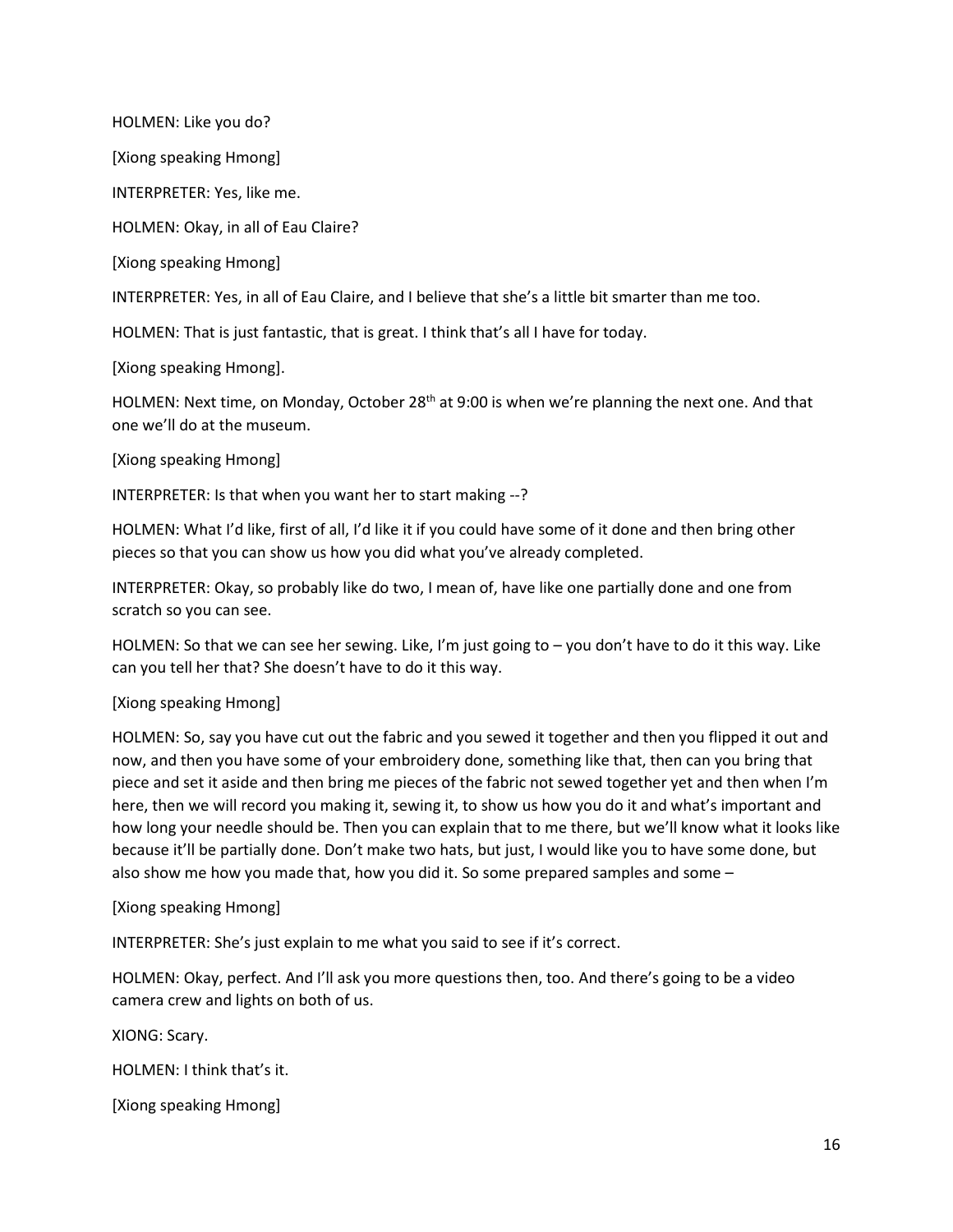HOLMEN: Like you do?

[Xiong speaking Hmong]

INTERPRETER: Yes, like me.

HOLMEN: Okay, in all of Eau Claire?

[Xiong speaking Hmong]

INTERPRETER: Yes, in all of Eau Claire, and I believe that she's a little bit smarter than me too.

HOLMEN: That is just fantastic, that is great. I think that's all I have for today.

[Xiong speaking Hmong].

HOLMEN: Next time, on Monday, October 28<sup>th</sup> at 9:00 is when we're planning the next one. And that one we'll do at the museum.

[Xiong speaking Hmong]

INTERPRETER: Is that when you want her to start making --?

HOLMEN: What I'd like, first of all, I'd like it if you could have some of it done and then bring other pieces so that you can show us how you did what you've already completed.

INTERPRETER: Okay, so probably like do two, I mean of, have like one partially done and one from scratch so you can see.

HOLMEN: So that we can see her sewing. Like, I'm just going to – you don't have to do it this way. Like can you tell her that? She doesn't have to do it this way.

#### [Xiong speaking Hmong]

HOLMEN: So, say you have cut out the fabric and you sewed it together and then you flipped it out and now, and then you have some of your embroidery done, something like that, then can you bring that piece and set it aside and then bring me pieces of the fabric not sewed together yet and then when I'm here, then we will record you making it, sewing it, to show us how you do it and what's important and how long your needle should be. Then you can explain that to me there, but we'll know what it looks like because it'll be partially done. Don't make two hats, but just, I would like you to have some done, but also show me how you made that, how you did it. So some prepared samples and some –

[Xiong speaking Hmong]

INTERPRETER: She's just explain to me what you said to see if it's correct.

HOLMEN: Okay, perfect. And I'll ask you more questions then, too. And there's going to be a video camera crew and lights on both of us.

XIONG: Scary.

HOLMEN: I think that's it.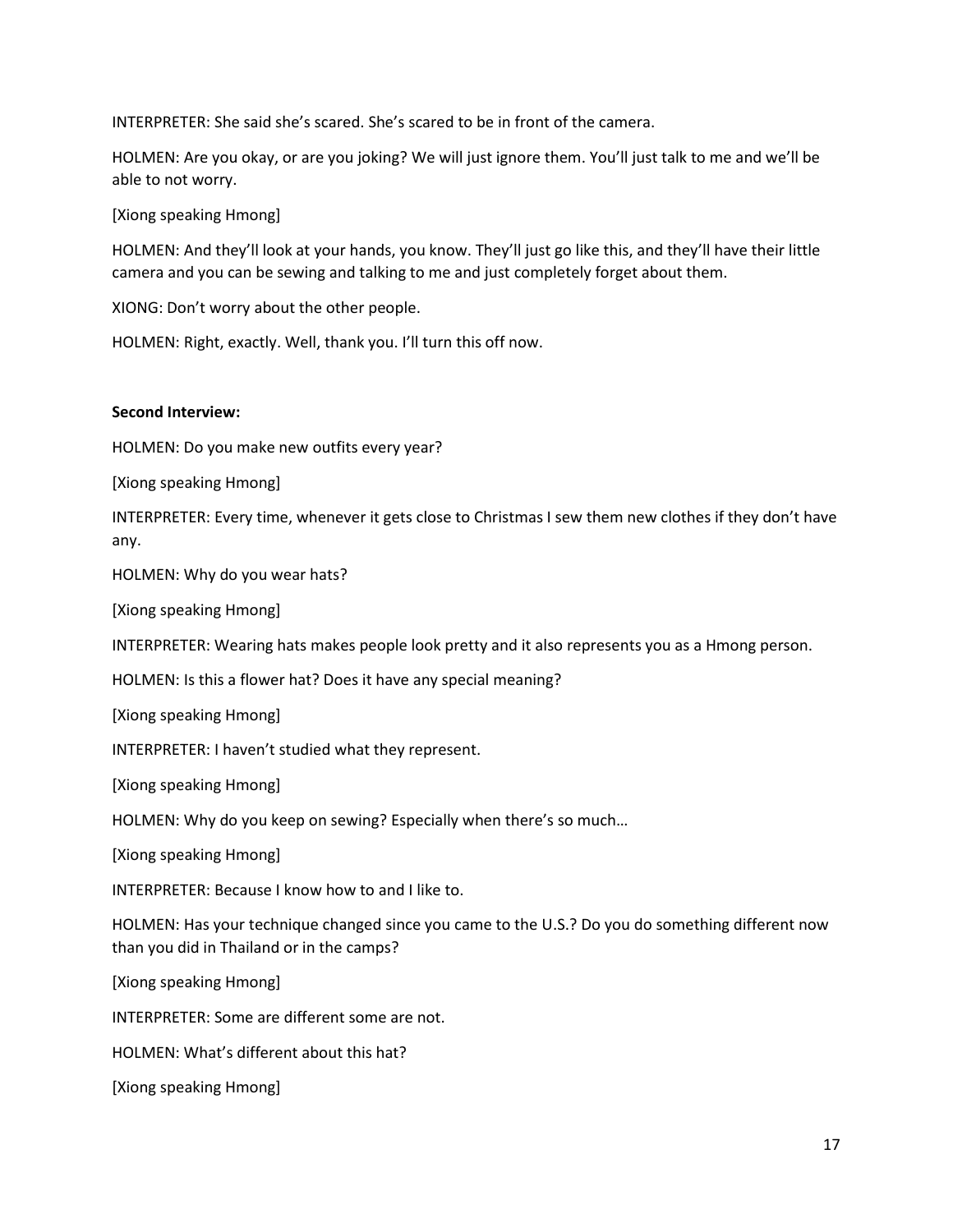INTERPRETER: She said she's scared. She's scared to be in front of the camera.

HOLMEN: Are you okay, or are you joking? We will just ignore them. You'll just talk to me and we'll be able to not worry.

[Xiong speaking Hmong]

HOLMEN: And they'll look at your hands, you know. They'll just go like this, and they'll have their little camera and you can be sewing and talking to me and just completely forget about them.

XIONG: Don't worry about the other people.

HOLMEN: Right, exactly. Well, thank you. I'll turn this off now.

## **Second Interview:**

HOLMEN: Do you make new outfits every year?

[Xiong speaking Hmong]

INTERPRETER: Every time, whenever it gets close to Christmas I sew them new clothes if they don't have any.

HOLMEN: Why do you wear hats?

[Xiong speaking Hmong]

INTERPRETER: Wearing hats makes people look pretty and it also represents you as a Hmong person.

HOLMEN: Is this a flower hat? Does it have any special meaning?

[Xiong speaking Hmong]

INTERPRETER: I haven't studied what they represent.

[Xiong speaking Hmong]

HOLMEN: Why do you keep on sewing? Especially when there's so much…

[Xiong speaking Hmong]

INTERPRETER: Because I know how to and I like to.

HOLMEN: Has your technique changed since you came to the U.S.? Do you do something different now than you did in Thailand or in the camps?

[Xiong speaking Hmong]

INTERPRETER: Some are different some are not.

HOLMEN: What's different about this hat?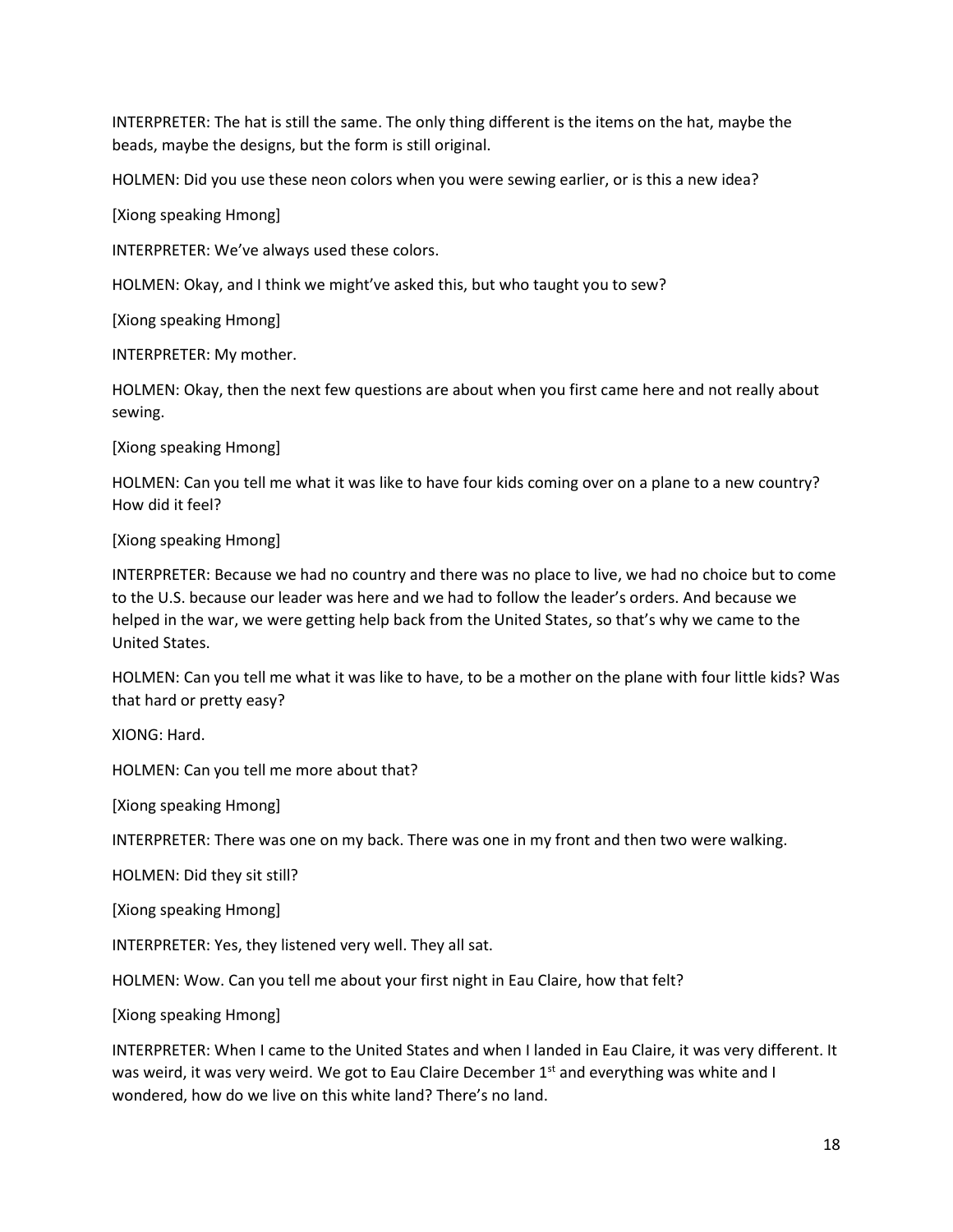INTERPRETER: The hat is still the same. The only thing different is the items on the hat, maybe the beads, maybe the designs, but the form is still original.

HOLMEN: Did you use these neon colors when you were sewing earlier, or is this a new idea?

[Xiong speaking Hmong]

INTERPRETER: We've always used these colors.

HOLMEN: Okay, and I think we might've asked this, but who taught you to sew?

[Xiong speaking Hmong]

INTERPRETER: My mother.

HOLMEN: Okay, then the next few questions are about when you first came here and not really about sewing.

[Xiong speaking Hmong]

HOLMEN: Can you tell me what it was like to have four kids coming over on a plane to a new country? How did it feel?

#### [Xiong speaking Hmong]

INTERPRETER: Because we had no country and there was no place to live, we had no choice but to come to the U.S. because our leader was here and we had to follow the leader's orders. And because we helped in the war, we were getting help back from the United States, so that's why we came to the United States.

HOLMEN: Can you tell me what it was like to have, to be a mother on the plane with four little kids? Was that hard or pretty easy?

XIONG: Hard.

HOLMEN: Can you tell me more about that?

[Xiong speaking Hmong]

INTERPRETER: There was one on my back. There was one in my front and then two were walking.

HOLMEN: Did they sit still?

[Xiong speaking Hmong]

INTERPRETER: Yes, they listened very well. They all sat.

HOLMEN: Wow. Can you tell me about your first night in Eau Claire, how that felt?

[Xiong speaking Hmong]

INTERPRETER: When I came to the United States and when I landed in Eau Claire, it was very different. It was weird, it was very weird. We got to Eau Claire December 1<sup>st</sup> and everything was white and I wondered, how do we live on this white land? There's no land.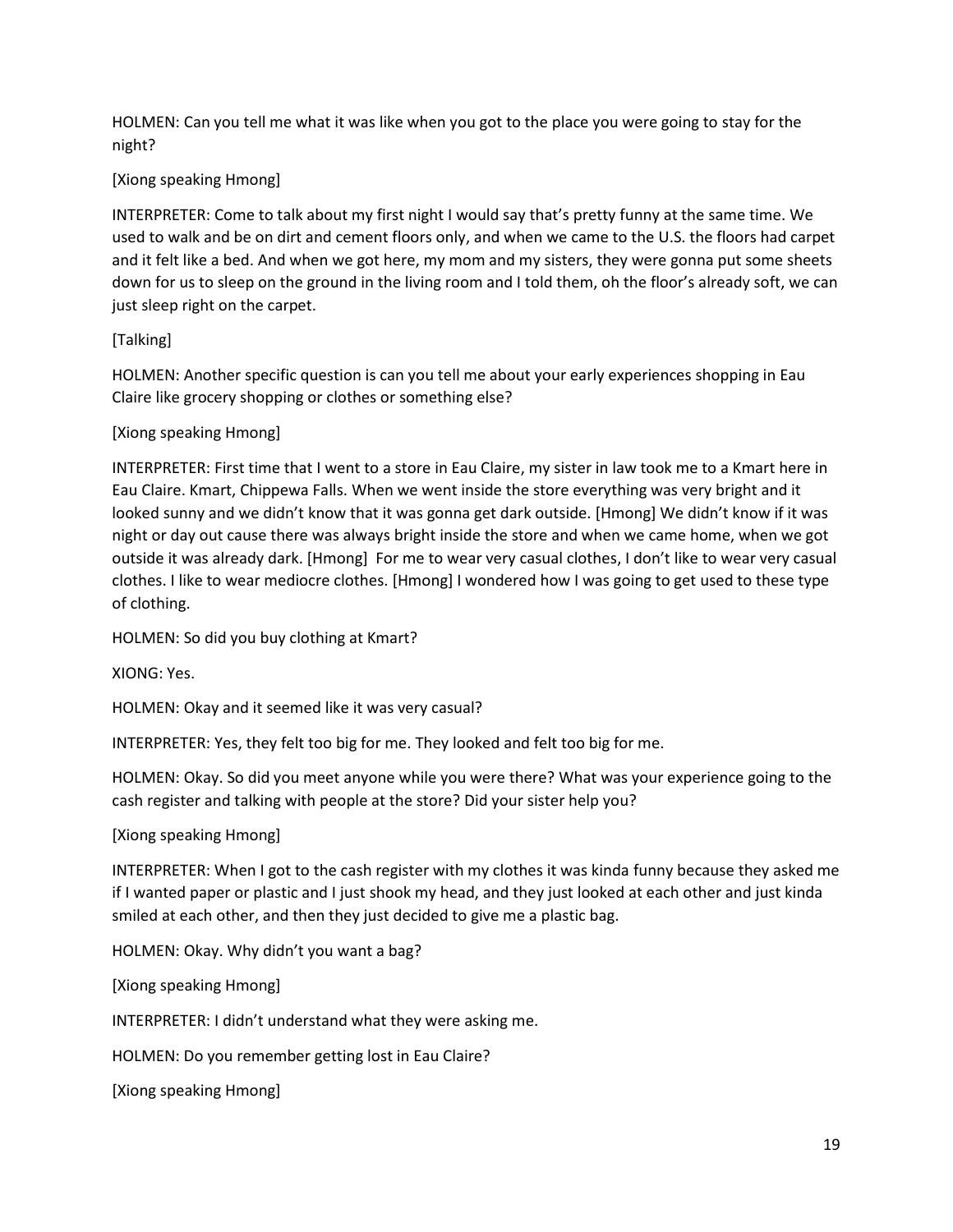HOLMEN: Can you tell me what it was like when you got to the place you were going to stay for the night?

# [Xiong speaking Hmong]

INTERPRETER: Come to talk about my first night I would say that's pretty funny at the same time. We used to walk and be on dirt and cement floors only, and when we came to the U.S. the floors had carpet and it felt like a bed. And when we got here, my mom and my sisters, they were gonna put some sheets down for us to sleep on the ground in the living room and I told them, oh the floor's already soft, we can just sleep right on the carpet.

# [Talking]

HOLMEN: Another specific question is can you tell me about your early experiences shopping in Eau Claire like grocery shopping or clothes or something else?

# [Xiong speaking Hmong]

INTERPRETER: First time that I went to a store in Eau Claire, my sister in law took me to a Kmart here in Eau Claire. Kmart, Chippewa Falls. When we went inside the store everything was very bright and it looked sunny and we didn't know that it was gonna get dark outside. [Hmong] We didn't know if it was night or day out cause there was always bright inside the store and when we came home, when we got outside it was already dark. [Hmong] For me to wear very casual clothes, I don't like to wear very casual clothes. I like to wear mediocre clothes. [Hmong] I wondered how I was going to get used to these type of clothing.

HOLMEN: So did you buy clothing at Kmart?

XIONG: Yes.

HOLMEN: Okay and it seemed like it was very casual?

INTERPRETER: Yes, they felt too big for me. They looked and felt too big for me.

HOLMEN: Okay. So did you meet anyone while you were there? What was your experience going to the cash register and talking with people at the store? Did your sister help you?

## [Xiong speaking Hmong]

INTERPRETER: When I got to the cash register with my clothes it was kinda funny because they asked me if I wanted paper or plastic and I just shook my head, and they just looked at each other and just kinda smiled at each other, and then they just decided to give me a plastic bag.

HOLMEN: Okay. Why didn't you want a bag?

[Xiong speaking Hmong]

INTERPRETER: I didn't understand what they were asking me.

HOLMEN: Do you remember getting lost in Eau Claire?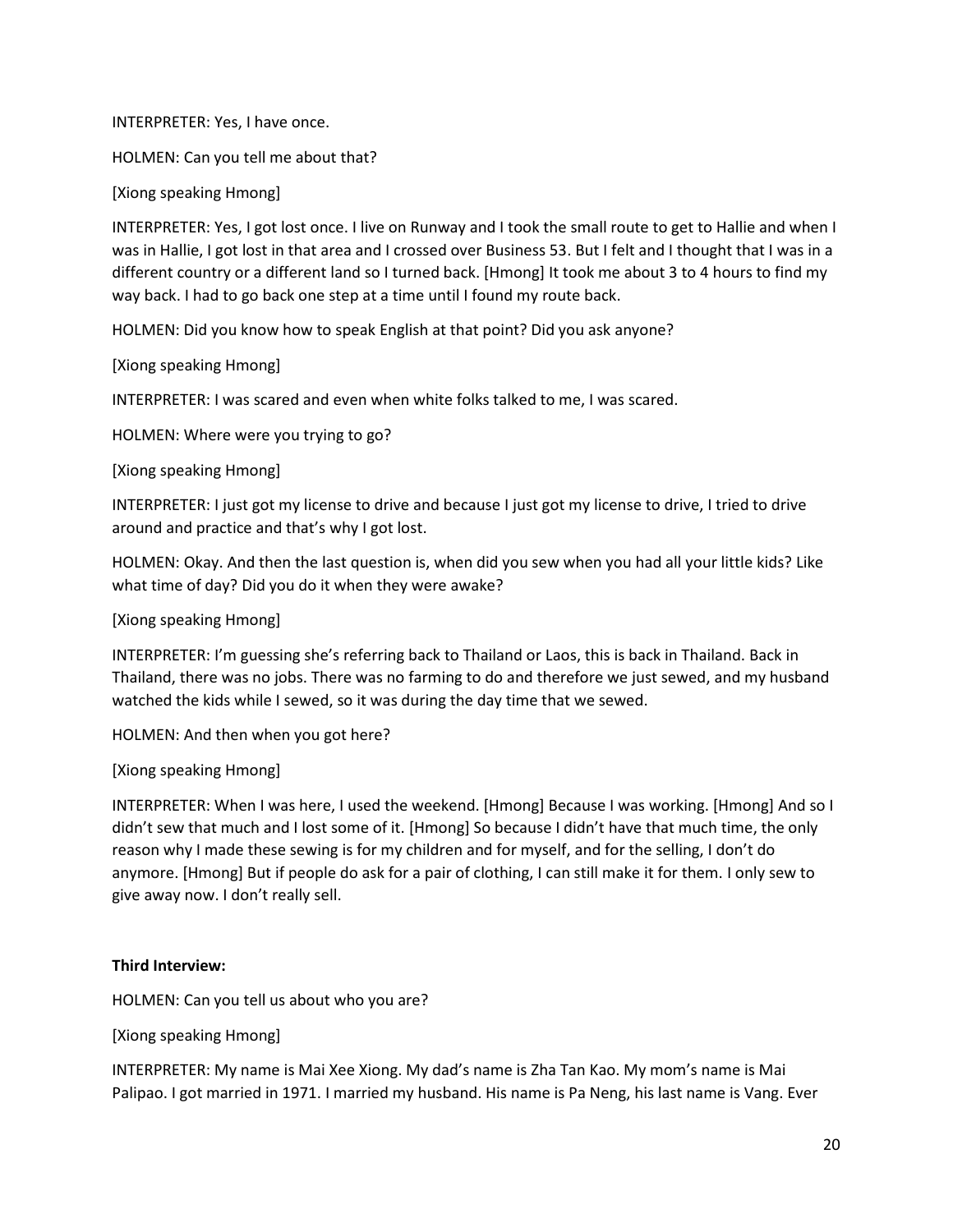INTERPRETER: Yes, I have once.

HOLMEN: Can you tell me about that?

[Xiong speaking Hmong]

INTERPRETER: Yes, I got lost once. I live on Runway and I took the small route to get to Hallie and when I was in Hallie, I got lost in that area and I crossed over Business 53. But I felt and I thought that I was in a different country or a different land so I turned back. [Hmong] It took me about 3 to 4 hours to find my way back. I had to go back one step at a time until I found my route back.

HOLMEN: Did you know how to speak English at that point? Did you ask anyone?

[Xiong speaking Hmong]

INTERPRETER: I was scared and even when white folks talked to me, I was scared.

HOLMEN: Where were you trying to go?

[Xiong speaking Hmong]

INTERPRETER: I just got my license to drive and because I just got my license to drive, I tried to drive around and practice and that's why I got lost.

HOLMEN: Okay. And then the last question is, when did you sew when you had all your little kids? Like what time of day? Did you do it when they were awake?

#### [Xiong speaking Hmong]

INTERPRETER: I'm guessing she's referring back to Thailand or Laos, this is back in Thailand. Back in Thailand, there was no jobs. There was no farming to do and therefore we just sewed, and my husband watched the kids while I sewed, so it was during the day time that we sewed.

HOLMEN: And then when you got here?

## [Xiong speaking Hmong]

INTERPRETER: When I was here, I used the weekend. [Hmong] Because I was working. [Hmong] And so I didn't sew that much and I lost some of it. [Hmong] So because I didn't have that much time, the only reason why I made these sewing is for my children and for myself, and for the selling, I don't do anymore. [Hmong] But if people do ask for a pair of clothing, I can still make it for them. I only sew to give away now. I don't really sell.

## **Third Interview:**

HOLMEN: Can you tell us about who you are?

[Xiong speaking Hmong]

INTERPRETER: My name is Mai Xee Xiong. My dad's name is Zha Tan Kao. My mom's name is Mai Palipao. I got married in 1971. I married my husband. His name is Pa Neng, his last name is Vang. Ever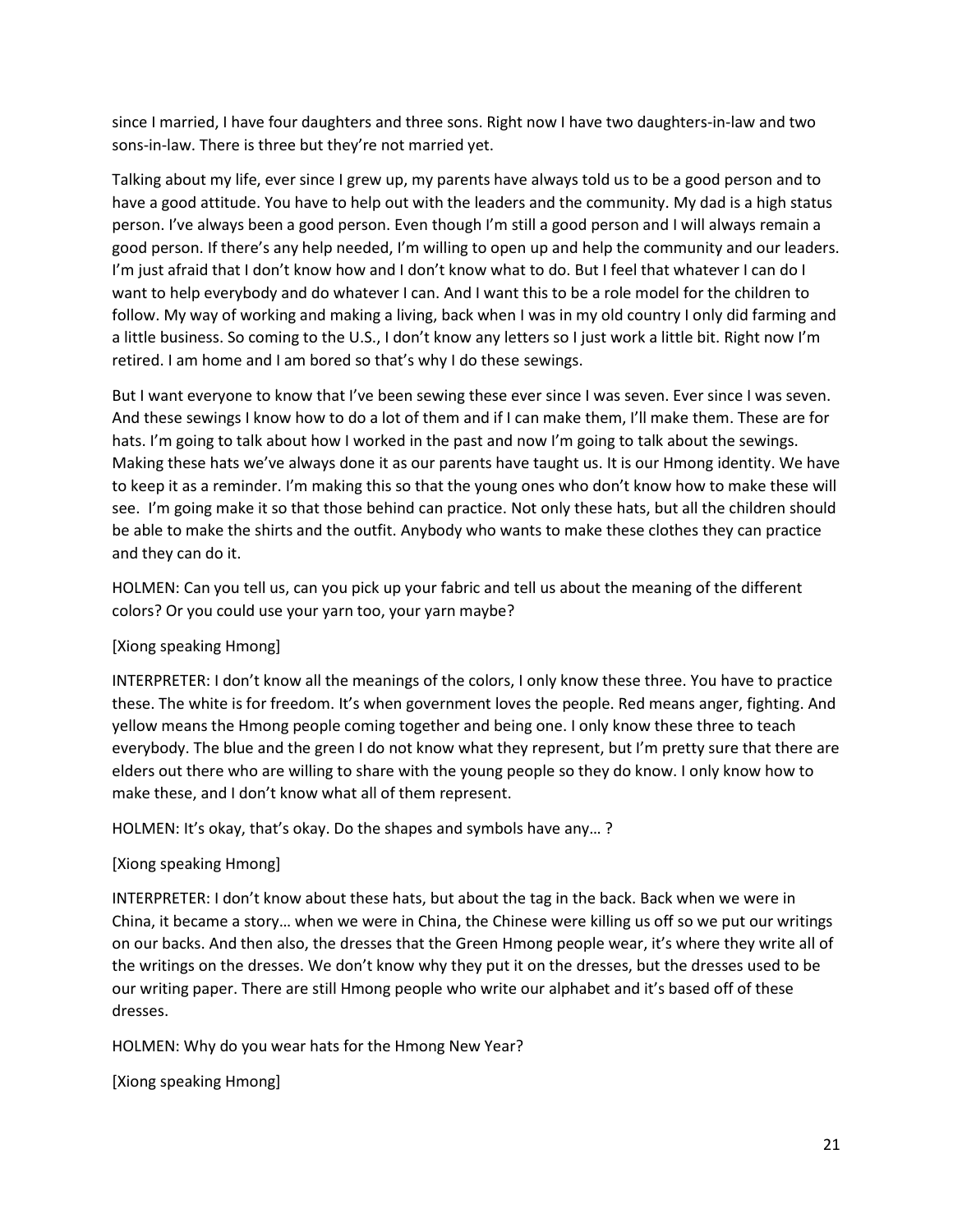since I married, I have four daughters and three sons. Right now I have two daughters-in-law and two sons-in-law. There is three but they're not married yet.

Talking about my life, ever since I grew up, my parents have always told us to be a good person and to have a good attitude. You have to help out with the leaders and the community. My dad is a high status person. I've always been a good person. Even though I'm still a good person and I will always remain a good person. If there's any help needed, I'm willing to open up and help the community and our leaders. I'm just afraid that I don't know how and I don't know what to do. But I feel that whatever I can do I want to help everybody and do whatever I can. And I want this to be a role model for the children to follow. My way of working and making a living, back when I was in my old country I only did farming and a little business. So coming to the U.S., I don't know any letters so I just work a little bit. Right now I'm retired. I am home and I am bored so that's why I do these sewings.

But I want everyone to know that I've been sewing these ever since I was seven. Ever since I was seven. And these sewings I know how to do a lot of them and if I can make them, I'll make them. These are for hats. I'm going to talk about how I worked in the past and now I'm going to talk about the sewings. Making these hats we've always done it as our parents have taught us. It is our Hmong identity. We have to keep it as a reminder. I'm making this so that the young ones who don't know how to make these will see. I'm going make it so that those behind can practice. Not only these hats, but all the children should be able to make the shirts and the outfit. Anybody who wants to make these clothes they can practice and they can do it.

HOLMEN: Can you tell us, can you pick up your fabric and tell us about the meaning of the different colors? Or you could use your yarn too, your yarn maybe?

# [Xiong speaking Hmong]

INTERPRETER: I don't know all the meanings of the colors, I only know these three. You have to practice these. The white is for freedom. It's when government loves the people. Red means anger, fighting. And yellow means the Hmong people coming together and being one. I only know these three to teach everybody. The blue and the green I do not know what they represent, but I'm pretty sure that there are elders out there who are willing to share with the young people so they do know. I only know how to make these, and I don't know what all of them represent.

HOLMEN: It's okay, that's okay. Do the shapes and symbols have any… ?

## [Xiong speaking Hmong]

INTERPRETER: I don't know about these hats, but about the tag in the back. Back when we were in China, it became a story… when we were in China, the Chinese were killing us off so we put our writings on our backs. And then also, the dresses that the Green Hmong people wear, it's where they write all of the writings on the dresses. We don't know why they put it on the dresses, but the dresses used to be our writing paper. There are still Hmong people who write our alphabet and it's based off of these dresses.

HOLMEN: Why do you wear hats for the Hmong New Year?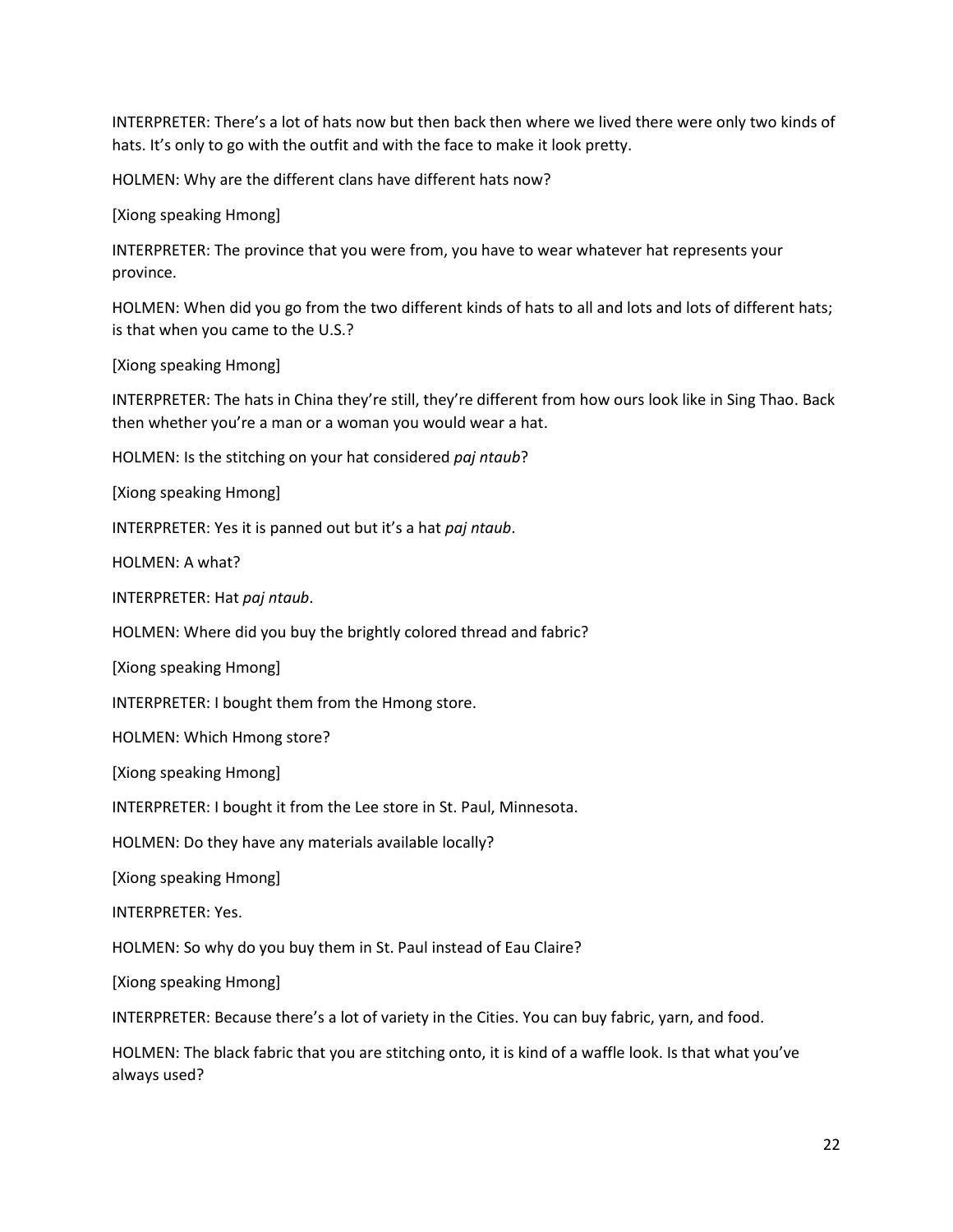INTERPRETER: There's a lot of hats now but then back then where we lived there were only two kinds of hats. It's only to go with the outfit and with the face to make it look pretty.

HOLMEN: Why are the different clans have different hats now?

[Xiong speaking Hmong]

INTERPRETER: The province that you were from, you have to wear whatever hat represents your province.

HOLMEN: When did you go from the two different kinds of hats to all and lots and lots of different hats; is that when you came to the U.S.?

[Xiong speaking Hmong]

INTERPRETER: The hats in China they're still, they're different from how ours look like in Sing Thao. Back then whether you're a man or a woman you would wear a hat.

HOLMEN: Is the stitching on your hat considered *paj ntaub*?

[Xiong speaking Hmong]

INTERPRETER: Yes it is panned out but it's a hat *paj ntaub*.

HOLMEN: A what?

INTERPRETER: Hat *paj ntaub*.

HOLMEN: Where did you buy the brightly colored thread and fabric?

[Xiong speaking Hmong]

INTERPRETER: I bought them from the Hmong store.

HOLMEN: Which Hmong store?

[Xiong speaking Hmong]

INTERPRETER: I bought it from the Lee store in St. Paul, Minnesota.

HOLMEN: Do they have any materials available locally?

[Xiong speaking Hmong]

INTERPRETER: Yes.

HOLMEN: So why do you buy them in St. Paul instead of Eau Claire?

[Xiong speaking Hmong]

INTERPRETER: Because there's a lot of variety in the Cities. You can buy fabric, yarn, and food.

HOLMEN: The black fabric that you are stitching onto, it is kind of a waffle look. Is that what you've always used?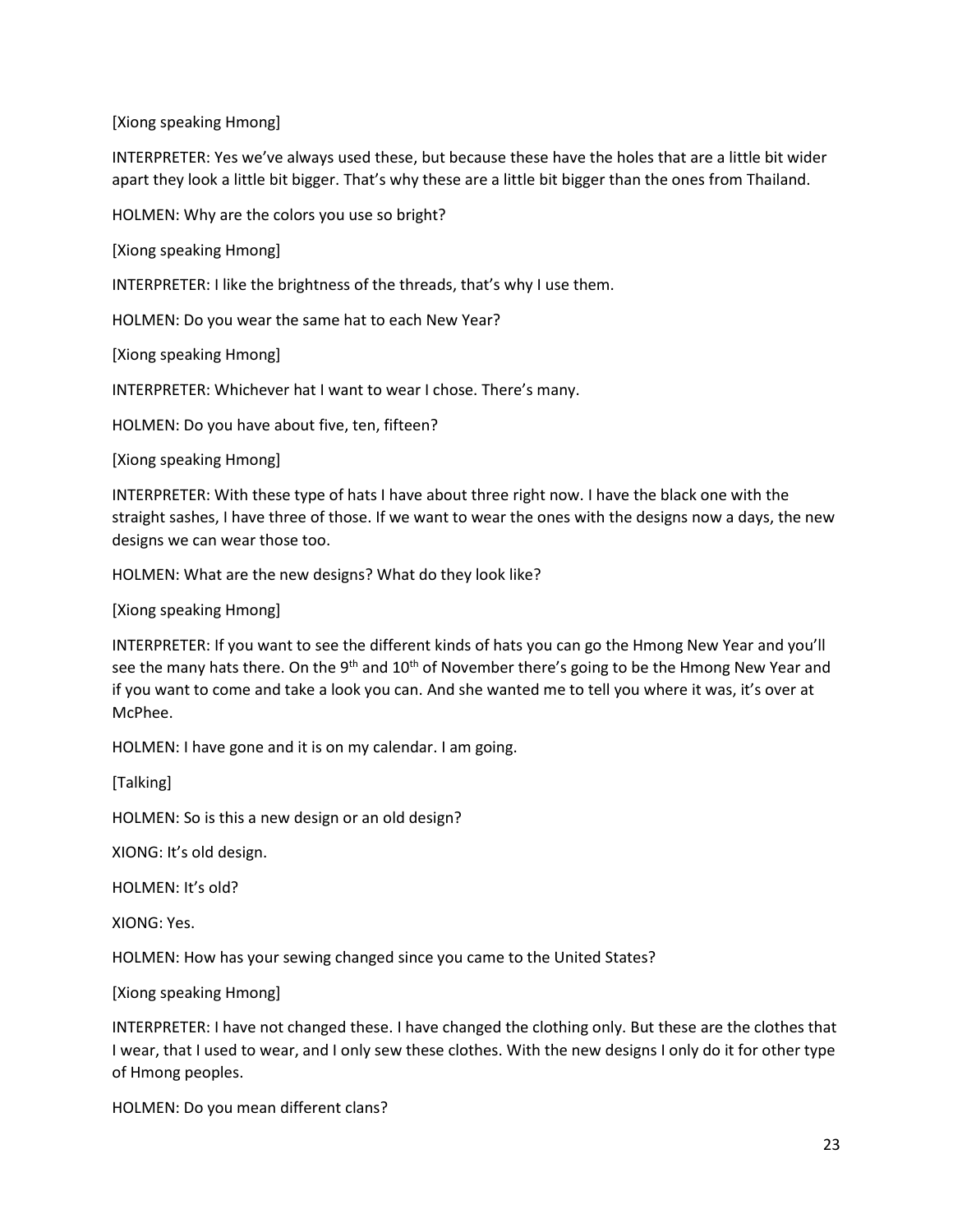INTERPRETER: Yes we've always used these, but because these have the holes that are a little bit wider apart they look a little bit bigger. That's why these are a little bit bigger than the ones from Thailand.

HOLMEN: Why are the colors you use so bright?

[Xiong speaking Hmong]

INTERPRETER: I like the brightness of the threads, that's why I use them.

HOLMEN: Do you wear the same hat to each New Year?

[Xiong speaking Hmong]

INTERPRETER: Whichever hat I want to wear I chose. There's many.

HOLMEN: Do you have about five, ten, fifteen?

[Xiong speaking Hmong]

INTERPRETER: With these type of hats I have about three right now. I have the black one with the straight sashes, I have three of those. If we want to wear the ones with the designs now a days, the new designs we can wear those too.

HOLMEN: What are the new designs? What do they look like?

[Xiong speaking Hmong]

INTERPRETER: If you want to see the different kinds of hats you can go the Hmong New Year and you'll see the many hats there. On the  $9<sup>th</sup>$  and  $10<sup>th</sup>$  of November there's going to be the Hmong New Year and if you want to come and take a look you can. And she wanted me to tell you where it was, it's over at McPhee.

HOLMEN: I have gone and it is on my calendar. I am going.

[Talking]

HOLMEN: So is this a new design or an old design?

XIONG: It's old design.

HOLMEN: It's old?

XIONG: Yes.

HOLMEN: How has your sewing changed since you came to the United States?

[Xiong speaking Hmong]

INTERPRETER: I have not changed these. I have changed the clothing only. But these are the clothes that I wear, that I used to wear, and I only sew these clothes. With the new designs I only do it for other type of Hmong peoples.

HOLMEN: Do you mean different clans?